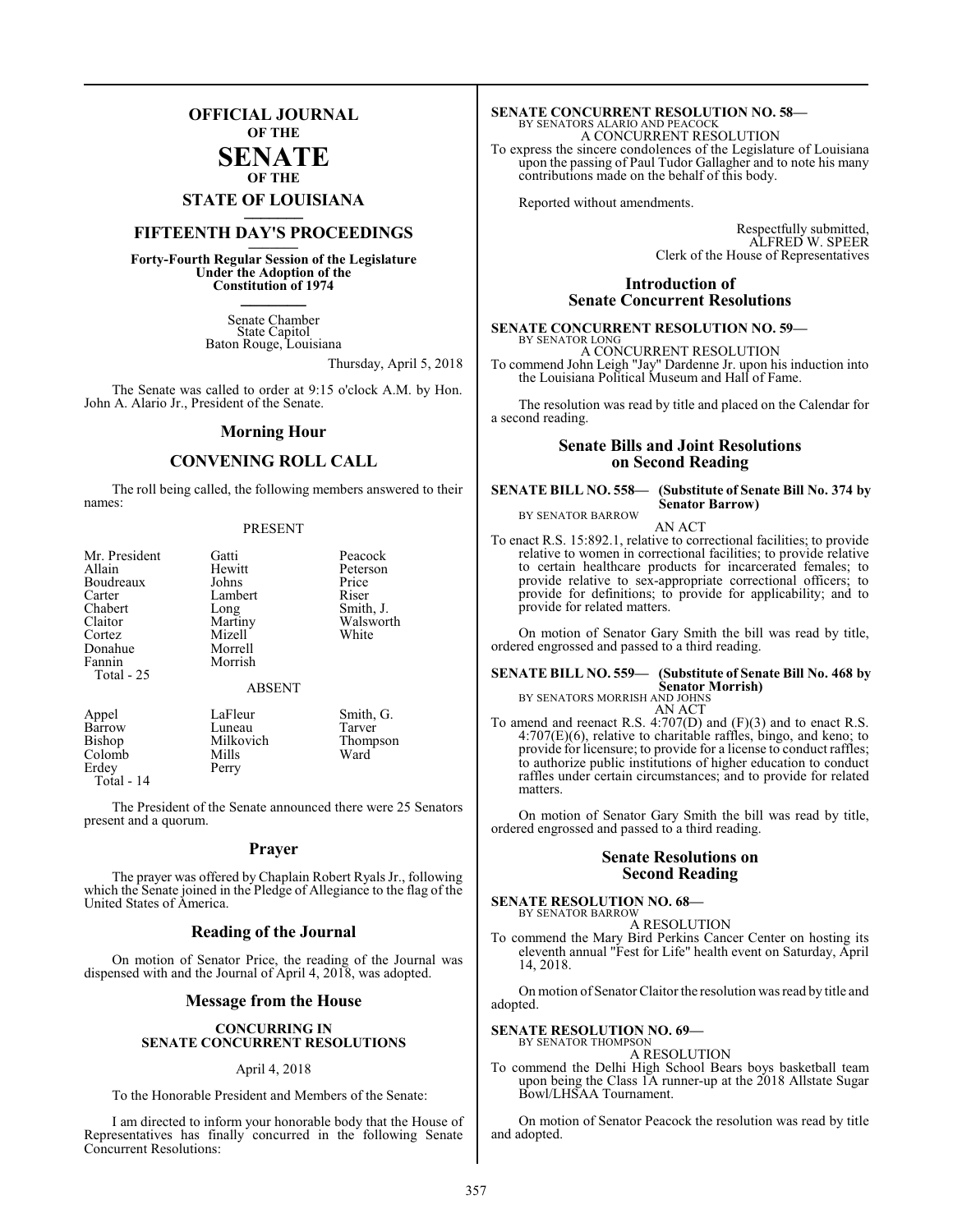### **OFFICIAL JOURNAL OF THE**

### **SENATE OF THE**

## **STATE OF LOUISIANA \_\_\_\_\_\_\_**

### **FIFTEENTH DAY'S PROCEEDINGS \_\_\_\_\_\_\_**

**Forty-Fourth Regular Session of the Legislature Under the Adoption of the Constitution of 1974 \_\_\_\_\_\_\_**

> Senate Chamber State Capitol Baton Rouge, Louisiana

> > Thursday, April 5, 2018

The Senate was called to order at 9:15 o'clock A.M. by Hon. John A. Alario Jr., President of the Senate.

### **Morning Hour**

### **CONVENING ROLL CALL**

The roll being called, the following members answered to their names:

### PRESENT

| Mr. President<br>Allain<br>Boudreaux<br>Carter<br>Chabert<br>Claitor<br>Cortez<br>Donahue<br>Fannin<br>Total - 25 | Gatti<br>Hewitt<br>Johns<br>Lambert<br>Long<br>Martiny<br>Mizell<br>Morrell<br>Morrish | Peacock<br>Peterson<br>Price<br>Riser<br>Smith, J.<br>Walsworth<br>White |
|-------------------------------------------------------------------------------------------------------------------|----------------------------------------------------------------------------------------|--------------------------------------------------------------------------|
|                                                                                                                   | <b>ABSENT</b>                                                                          |                                                                          |
| Annel                                                                                                             | LaFleur                                                                                | Smith G                                                                  |

| Appel      | LaFleur   | Smith, G. |
|------------|-----------|-----------|
| Barrow     | Luneau    | Tarver    |
| Bishop     | Milkovich | Thompson  |
| Colomb     | Mills     | Ward      |
| Erdey      | Perry     |           |
| Total - 14 |           |           |

The President of the Senate announced there were 25 Senators present and a quorum.

### **Prayer**

The prayer was offered by Chaplain Robert Ryals Jr., following which the Senate joined in the Pledge of Allegiance to the flag of the United States of America.

### **Reading of the Journal**

On motion of Senator Price, the reading of the Journal was dispensed with and the Journal of April 4, 2018, was adopted.

### **Message from the House**

### **CONCURRING IN SENATE CONCURRENT RESOLUTIONS**

### April 4, 2018

To the Honorable President and Members of the Senate:

I am directed to inform your honorable body that the House of Representatives has finally concurred in the following Senate Concurrent Resolutions:

## **SENATE CONCURRENT RESOLUTION NO. 58—**<br>BY SENATORS ALARIO AND PEACOCK<br>A CONCURRENT RESOLUTION

To express the sincere condolences of the Legislature of Louisiana upon the passing of Paul Tudor Gallagher and to note his many contributions made on the behalf of this body.

Reported without amendments.

Respectfully submitted, ALFRED W. SPEER Clerk of the House of Representatives

### **Introduction of Senate Concurrent Resolutions**

#### **SENATE CONCURRENT RESOLUTION NO. 59—** BY SENATOR LONG

A CONCURRENT RESOLUTION To commend John Leigh "Jay" Dardenne Jr. upon his induction into the Louisiana Political Museum and Hall of Fame.

The resolution was read by title and placed on the Calendar for a second reading.

### **Senate Bills and Joint Resolutions on Second Reading**

#### **SENATE BILL NO. 558— (Substitute of Senate Bill No. 374 by Senator Barrow)** BY SENATOR BARROW

AN ACT

To enact R.S. 15:892.1, relative to correctional facilities; to provide relative to women in correctional facilities; to provide relative to certain healthcare products for incarcerated females; to provide relative to sex-appropriate correctional officers; to provide for definitions; to provide for applicability; and to provide for related matters.

On motion of Senator Gary Smith the bill was read by title, ordered engrossed and passed to a third reading.

#### **SENATE BILL NO. 559— (Substitute of Senate Bill No. 468 by Senator Morrish)** BY SENATORS MORRISH AND JOHNS

AN ACT

To amend and reenact R.S. 4:707(D) and (F)(3) and to enact R.S. 4:707(E)(6), relative to charitable raffles, bingo, and keno; to provide for licensure; to provide for a license to conduct raffles; to authorize public institutions of higher education to conduct raffles under certain circumstances; and to provide for related matters.

On motion of Senator Gary Smith the bill was read by title, ordered engrossed and passed to a third reading.

### **Senate Resolutions on Second Reading**

**SENATE RESOLUTION NO. 68—** BY SENATOR BARROW

A RESOLUTION

To commend the Mary Bird Perkins Cancer Center on hosting its eleventh annual "Fest for Life" health event on Saturday, April 14, 2018.

On motion of Senator Claitor the resolution was read by title and adopted.

#### **SENATE RESOLUTION NO. 69—** BY SENATOR THOMPSON

A RESOLUTION

To commend the Delhi High School Bears boys basketball team upon being the Class 1A runner-up at the 2018 Allstate Sugar Bowl/LHSAA Tournament.

On motion of Senator Peacock the resolution was read by title and adopted.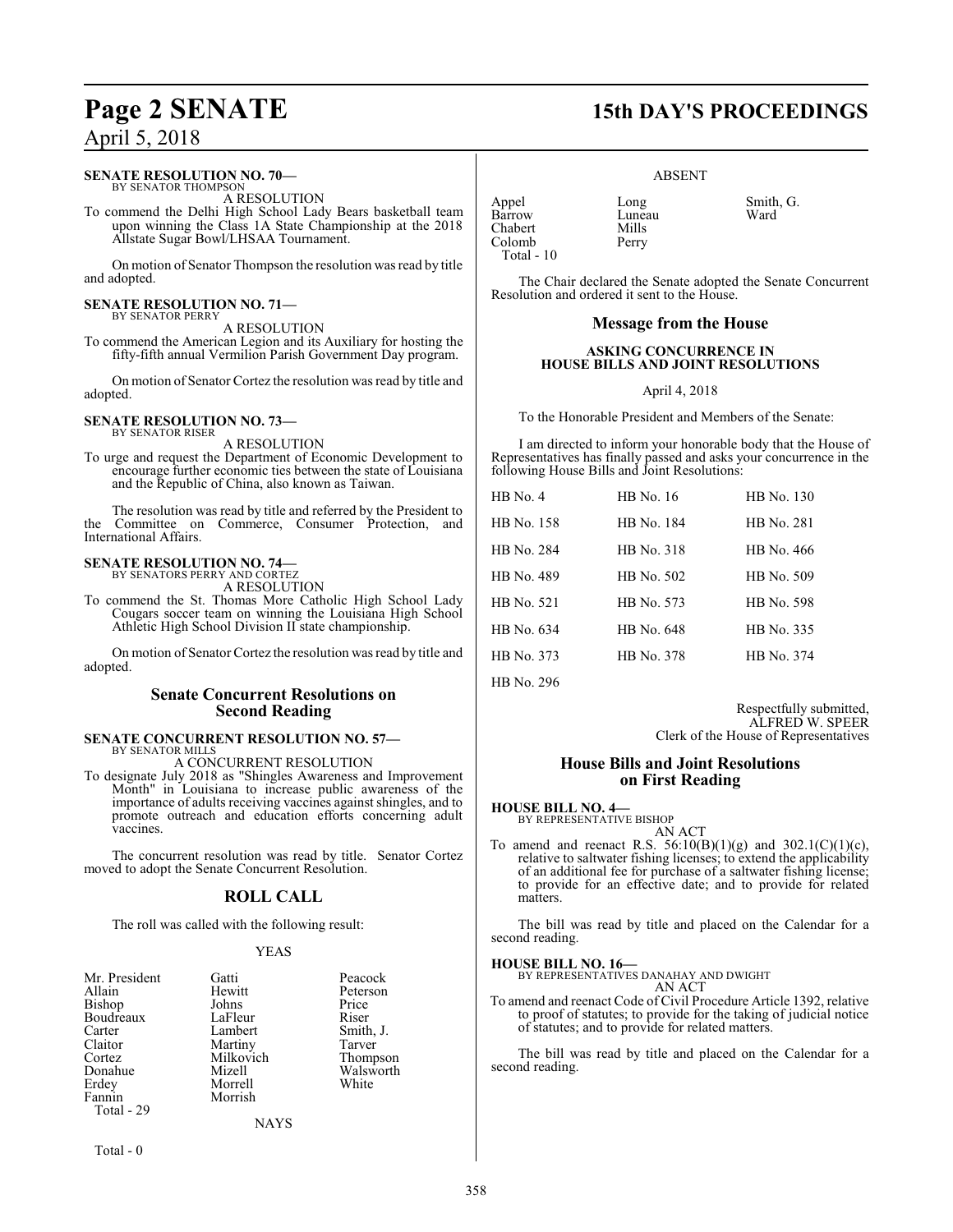### **SENATE RESOLUTION NO. 70—**

BY SENATOR THOMPSON A RESOLUTION

To commend the Delhi High School Lady Bears basketball team upon winning the Class 1A State Championship at the 2018 Allstate Sugar Bowl/LHSAA Tournament.

On motion of Senator Thompson the resolution was read by title and adopted.

#### **SENATE RESOLUTION NO. 71—** BY SENATOR PERRY

A RESOLUTION

To commend the American Legion and its Auxiliary for hosting the fifty-fifth annual Vermilion Parish Government Day program.

On motion of Senator Cortez the resolution was read by title and adopted.

#### **SENATE RESOLUTION NO. 73—** BY SENATOR RISER

A RESOLUTION

To urge and request the Department of Economic Development to encourage further economic ties between the state of Louisiana and the Republic of China, also known as Taiwan.

The resolution was read by title and referred by the President to the Committee on Commerce, Consumer Protection, and International Affairs.

### **SENATE RESOLUTION NO. 74—** BY SENATORS PERRY AND CORTEZ

A RESOLUTION

To commend the St. Thomas More Catholic High School Lady Cougars soccer team on winning the Louisiana High School Athletic High School Division II state championship.

On motion of Senator Cortez the resolution was read by title and adopted.

### **Senate Concurrent Resolutions on Second Reading**

### **SENATE CONCURRENT RESOLUTION NO. 57—** BY SENATOR MILLS

A CONCURRENT RESOLUTION

To designate July 2018 as "Shingles Awareness and Improvement Month" in Louisiana to increase public awareness of the importance of adults receiving vaccines against shingles, and to promote outreach and education efforts concerning adult **vaccines.** 

The concurrent resolution was read by title. Senator Cortez moved to adopt the Senate Concurrent Resolution.

### **ROLL CALL**

The roll was called with the following result:

### YEAS

| Mr. President | Gatti     | Peacock   |
|---------------|-----------|-----------|
| Allain        | Hewitt    | Peterson  |
| Bishop        | Johns     | Price     |
| Boudreaux     | LaFleur   | Riser     |
| Carter        | Lambert   | Smith, J. |
| Claitor       | Martiny   | Tarver    |
| Cortez        | Milkovich | Thompson  |
| Donahue       | Mizell    | Walsworth |
| Erdey         | Morrell   | White     |
| Fannin        | Morrish   |           |
| Total - 29    |           |           |
|               | NAVC      |           |

NAYS

Total - 0

## **Page 2 SENATE 15th DAY'S PROCEEDINGS**

### ABSENT

Luneau<br>Mills

Appel Long Smith, G.<br>
Barrow Luneau Ward Chabert Mills<br>Colomb Perry Colomb Total - 10

The Chair declared the Senate adopted the Senate Concurrent Resolution and ordered it sent to the House.

### **Message from the House**

### **ASKING CONCURRENCE IN HOUSE BILLS AND JOINT RESOLUTIONS**

April 4, 2018

To the Honorable President and Members of the Senate:

I am directed to inform your honorable body that the House of Representatives has finally passed and asks your concurrence in the following House Bills and Joint Resolutions:

| $HB$ No. 4 | HB No. 16  | HB No. 130 |
|------------|------------|------------|
| HB No. 158 | HB No. 184 | HB No. 281 |
| HB No. 284 | HB No. 318 | HB No. 466 |
| HB No. 489 | HB No. 502 | HB No. 509 |
| HB No. 521 | HB No. 573 | HB No. 598 |
| HB No. 634 | HB No. 648 | HB No. 335 |
| HB No. 373 | HB No. 378 | HB No. 374 |
|            |            |            |

HB No. 296

Respectfully submitted, ALFRED W. SPEER Clerk of the House of Representatives

### **House Bills and Joint Resolutions on First Reading**

### **HOUSE BILL NO. 4—**

BY REPRESENTATIVE BISHOP AN ACT

To amend and reenact R.S.  $56:10(B)(1)(g)$  and  $302.1(C)(1)(c)$ , relative to saltwater fishing licenses; to extend the applicability of an additional fee for purchase of a saltwater fishing license; to provide for an effective date; and to provide for related matters.

The bill was read by title and placed on the Calendar for a second reading.

### **HOUSE BILL NO. 16—**

BY REPRESENTATIVES DANAHAY AND DWIGHT AN ACT

To amend and reenact Code of Civil Procedure Article 1392, relative to proof of statutes; to provide for the taking of judicial notice of statutes; and to provide for related matters.

The bill was read by title and placed on the Calendar for a second reading.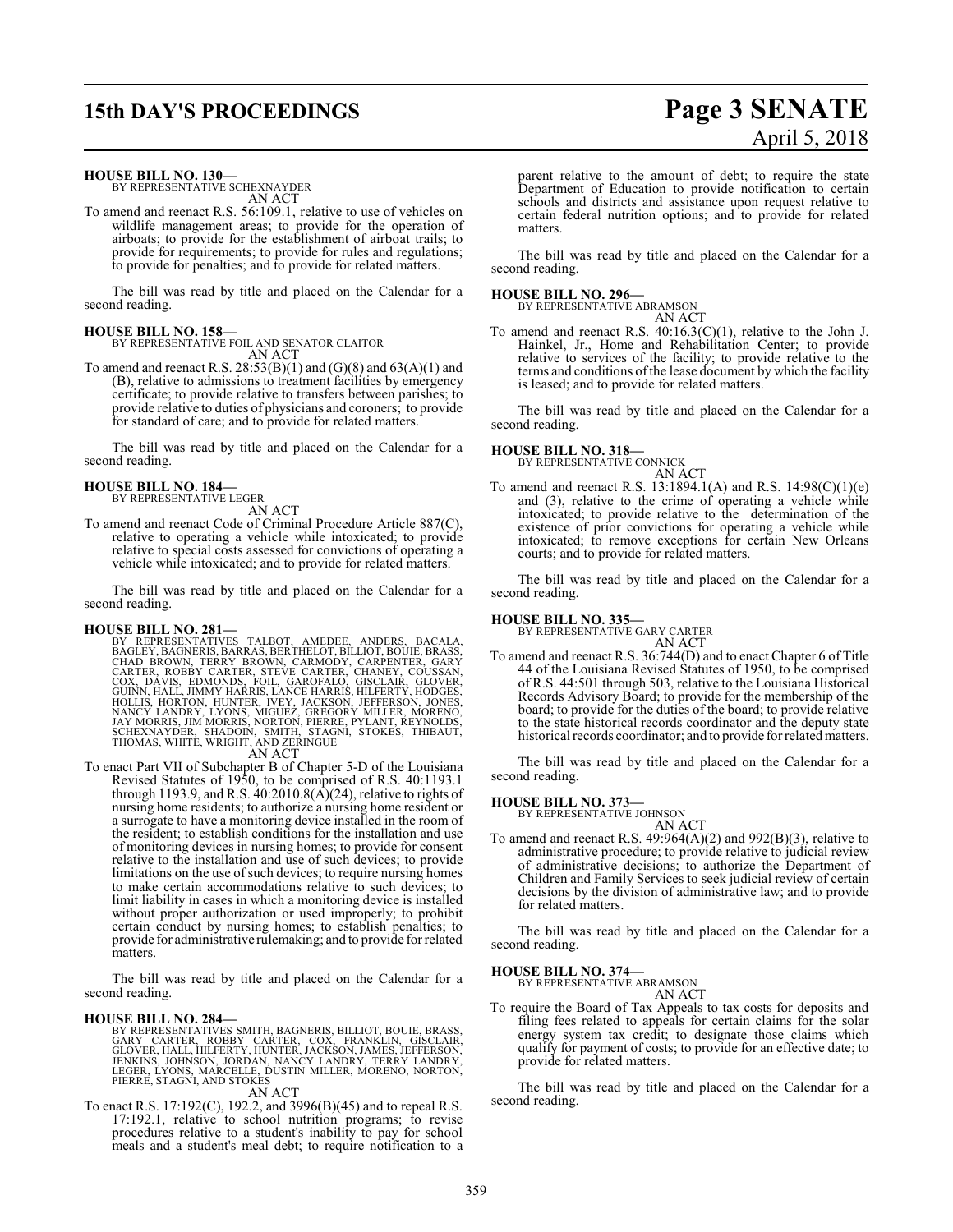## **15th DAY'S PROCEEDINGS Page 3 SENATE**

# April 5, 2018

### **HOUSE BILL NO. 130—**

BY REPRESENTATIVE SCHEXNAYDER AN ACT

To amend and reenact R.S. 56:109.1, relative to use of vehicles on wildlife management areas; to provide for the operation of airboats; to provide for the establishment of airboat trails; to provide for requirements; to provide for rules and regulations; to provide for penalties; and to provide for related matters.

The bill was read by title and placed on the Calendar for a second reading.

### **HOUSE BILL NO. 158—**

BY REPRESENTATIVE FOIL AND SENATOR CLAITOR AN ACT

To amend and reenact R.S.  $28:53(B)(1)$  and  $(G)(8)$  and  $63(A)(1)$  and (B), relative to admissions to treatment facilities by emergency certificate; to provide relative to transfers between parishes; to provide relative to duties of physicians and coroners; to provide for standard of care; and to provide for related matters.

The bill was read by title and placed on the Calendar for a second reading.

### **HOUSE BILL NO. 184—**

BY REPRESENTATIVE LEGER

- AN ACT
- To amend and reenact Code of Criminal Procedure Article 887(C), relative to operating a vehicle while intoxicated; to provide relative to special costs assessed for convictions of operating a vehicle while intoxicated; and to provide for related matters.

The bill was read by title and placed on the Calendar for a second reading.

**HOUSE BILL NO. 281—**<br>BY REPRESENTATIVES TALBOT, AMEDEE, ANDERS, BACALA,<br>BAGLEY, BAGNERIS, BARRAS, BERTHELOT, BILLIOT, BOUIE, BRASS,<br>CHAD BROWN, TERRY BROWN, CARMODY, CARPENTER, GARY<br>CARTER, ROBBY CARTER, STEVE CARTER, CHA

To enact Part VII of Subchapter B of Chapter 5-D of the Louisiana Revised Statutes of 1950, to be comprised of R.S. 40:1193.1 through 1193.9, and R.S. 40:2010.8(A)(24), relative to rights of nursing home residents; to authorize a nursing home resident or a surrogate to have a monitoring device installed in the room of the resident; to establish conditions for the installation and use of monitoring devices in nursing homes; to provide for consent relative to the installation and use of such devices; to provide limitations on the use of such devices; to require nursing homes to make certain accommodations relative to such devices; to limit liability in cases in which a monitoring device is installed without proper authorization or used improperly; to prohibit certain conduct by nursing homes; to establish penalties; to provide for administrative rulemaking; and to provide for related matters.

The bill was read by title and placed on the Calendar for a second reading.

### **HOUSE BILL NO. 284—**

BY REPRESENTATIVES SMITH, BAGNERIS, BILLIOT, BOUIE, BRASS,<br>GARY CARTER, ROBBY CARTER, COX, FRANKLIN, GISCLAIR,<br>GLOVER, HALL, HILFERTY, HUNTER, JACKSON, JAMES, JEFFERSON,<br>JENKINS, JOHNSON, JORDAN, NANCY LANDRY, TERRY LANDRY

AN ACT

To enact R.S. 17:192(C), 192.2, and 3996(B)(45) and to repeal R.S. 17:192.1, relative to school nutrition programs; to revise procedures relative to a student's inability to pay for school meals and a student's meal debt; to require notification to a parent relative to the amount of debt; to require the state Department of Education to provide notification to certain schools and districts and assistance upon request relative to certain federal nutrition options; and to provide for related matters.

The bill was read by title and placed on the Calendar for a second reading.

### **HOUSE BILL NO. 296—**

BY REPRESENTATIVE ABRAMSON AN ACT

To amend and reenact R.S. 40:16.3(C)(1), relative to the John J. Hainkel, Jr., Home and Rehabilitation Center; to provide relative to services of the facility; to provide relative to the terms and conditions ofthe lease document by which the facility is leased; and to provide for related matters.

The bill was read by title and placed on the Calendar for a second reading.

## **HOUSE BILL NO. 318—** BY REPRESENTATIVE CONNICK



To amend and reenact R.S. 13:1894.1(A) and R.S. 14:98(C)(1)(e) and (3), relative to the crime of operating a vehicle while intoxicated; to provide relative to the determination of the existence of prior convictions for operating a vehicle while intoxicated; to remove exceptions for certain New Orleans courts; and to provide for related matters.

The bill was read by title and placed on the Calendar for a second reading.

### **HOUSE BILL NO. 335—**

BY REPRESENTATIVE GARY CARTER

AN ACT To amend and reenact R.S. 36:744(D) and to enact Chapter 6 of Title 44 of the Louisiana Revised Statutes of 1950, to be comprised of R.S. 44:501 through 503, relative to the Louisiana Historical Records Advisory Board; to provide for the membership of the board; to provide for the duties of the board; to provide relative to the state historical records coordinator and the deputy state historical records coordinator; and to provide for related matters.

The bill was read by title and placed on the Calendar for a second reading.

### **HOUSE BILL NO. 373—** BY REPRESENTATIVE JOHNSON

- AN ACT
- To amend and reenact R.S. 49:964(A)(2) and 992(B)(3), relative to administrative procedure; to provide relative to judicial review of administrative decisions; to authorize the Department of Children and Family Services to seek judicial review of certain decisions by the division of administrative law; and to provide for related matters.

The bill was read by title and placed on the Calendar for a second reading.

### **HOUSE BILL NO. 374—**

BY REPRESENTATIVE ABRAMSON AN ACT

To require the Board of Tax Appeals to tax costs for deposits and filing fees related to appeals for certain claims for the solar energy system tax credit; to designate those claims which qualify for payment of costs; to provide for an effective date; to provide for related matters.

The bill was read by title and placed on the Calendar for a second reading.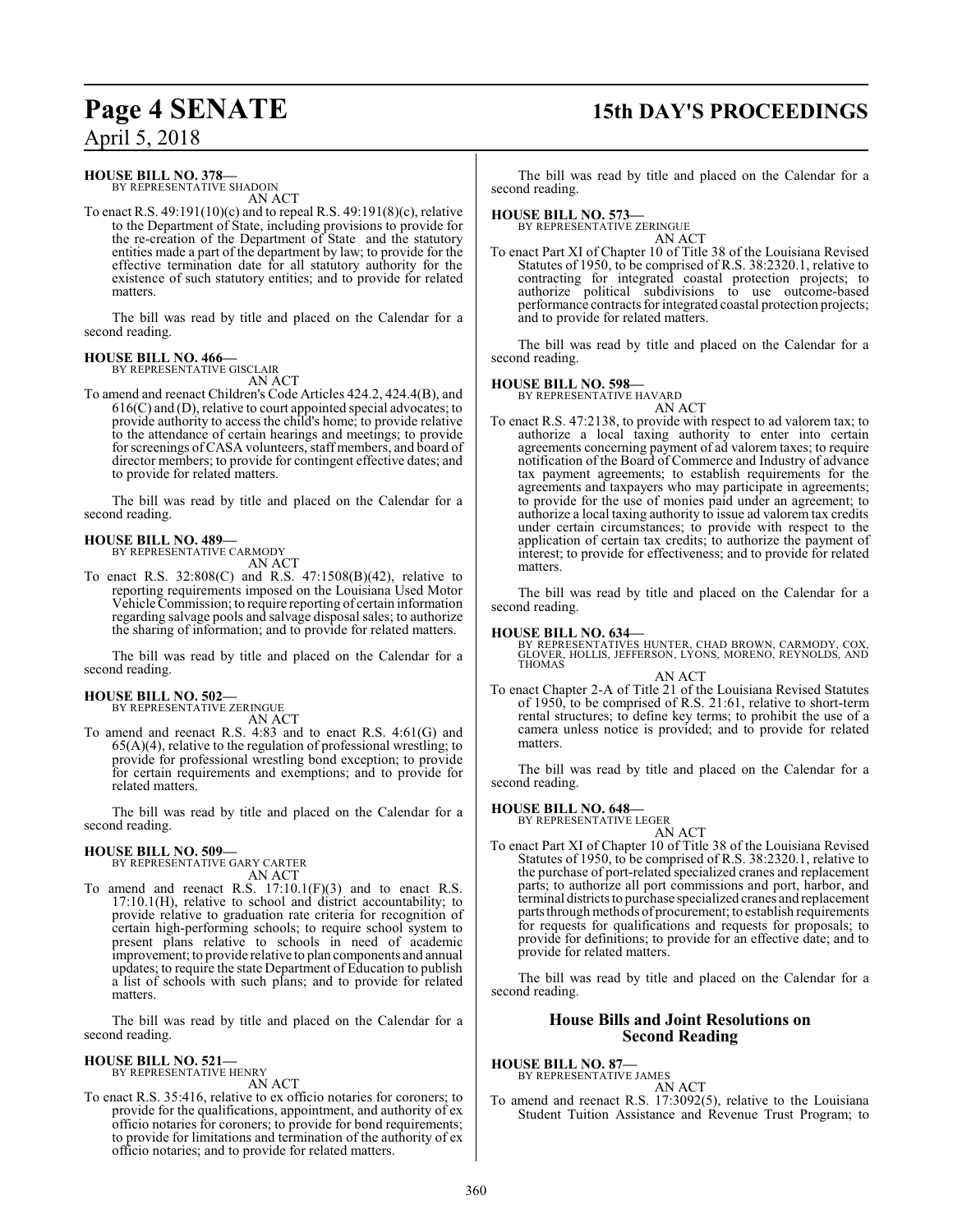## **Page 4 SENATE 15th DAY'S PROCEEDINGS**

April 5, 2018

### **HOUSE BILL NO. 378—**

BY REPRESENTATIVE SHADOIN AN ACT

To enact R.S. 49:191(10)(c) and to repeal R.S. 49:191(8)(c), relative to the Department of State, including provisions to provide for the re-creation of the Department of State and the statutory entities made a part of the department by law; to provide for the effective termination date for all statutory authority for the existence of such statutory entities; and to provide for related matters.

The bill was read by title and placed on the Calendar for a second reading.

#### **HOUSE BILL NO. 466—** BY REPRESENTATIVE GISCLAIR

AN ACT

To amend and reenact Children's Code Articles 424.2, 424.4(B), and  $616(C)$  and (D), relative to court appointed special advocates; to provide authority to access the child's home; to provide relative to the attendance of certain hearings and meetings; to provide for screenings ofCASA volunteers, staff members, and board of director members; to provide for contingent effective dates; and to provide for related matters.

The bill was read by title and placed on the Calendar for a second reading.

#### **HOUSE BILL NO. 489—** BY REPRESENTATIVE CARMODY

AN ACT

To enact R.S. 32:808(C) and R.S. 47:1508(B)(42), relative to reporting requirements imposed on the Louisiana Used Motor Vehicle Commission; to require reporting of certain information regarding salvage pools and salvage disposal sales; to authorize the sharing of information; and to provide for related matters.

The bill was read by title and placed on the Calendar for a second reading.

### **HOUSE BILL NO. 502—**

BY REPRESENTATIVE ZERINGUE

AN ACT

To amend and reenact R.S. 4:83 and to enact R.S. 4:61(G) and  $65(A)(4)$ , relative to the regulation of professional wrestling; to provide for professional wrestling bond exception; to provide for certain requirements and exemptions; and to provide for related matters.

The bill was read by title and placed on the Calendar for a second reading.

### **HOUSE BILL NO. 509—**

BY REPRESENTATIVE GARY CARTER AN ACT

To amend and reenact R.S. 17:10.1(F)(3) and to enact R.S. 17:10.1(H), relative to school and district accountability; to provide relative to graduation rate criteria for recognition of certain high-performing schools; to require school system to present plans relative to schools in need of academic improvement; to provide relative to plan components and annual updates; to require the state Department of Education to publish a list of schools with such plans; and to provide for related matters.

The bill was read by title and placed on the Calendar for a second reading.

## **HOUSE BILL NO. 521—** BY REPRESENTATIVE HENRY

AN ACT

To enact R.S. 35:416, relative to ex officio notaries for coroners; to provide for the qualifications, appointment, and authority of ex officio notaries for coroners; to provide for bond requirements; to provide for limitations and termination of the authority of ex officio notaries; and to provide for related matters.

The bill was read by title and placed on the Calendar for a second reading.

### **HOUSE BILL NO. 573—**

BY REPRESENTATIVE ZERINGUE AN ACT

To enact Part XI of Chapter 10 of Title 38 of the Louisiana Revised Statutes of 1950, to be comprised of R.S. 38:2320.1, relative to contracting for integrated coastal protection projects; to authorize political subdivisions to use outcome-based performance contracts for integrated coastal protection projects; and to provide for related matters.

The bill was read by title and placed on the Calendar for a second reading.

### **HOUSE BILL NO. 598—**

BY REPRESENTATIVE HAVARD AN ACT

To enact R.S. 47:2138, to provide with respect to ad valorem tax; to authorize a local taxing authority to enter into certain agreements concerning payment of ad valorem taxes; to require notification of the Board of Commerce and Industry of advance tax payment agreements; to establish requirements for the agreements and taxpayers who may participate in agreements; to provide for the use of monies paid under an agreement; to authorize a local taxing authority to issue ad valorem tax credits under certain circumstances; to provide with respect to the application of certain tax credits; to authorize the payment of interest; to provide for effectiveness; and to provide for related matters.

The bill was read by title and placed on the Calendar for a second reading.

**HOUSE BILL NO. 634—** BY REPRESENTATIVES HUNTER, CHAD BROWN, CARMODY, COX, GLOVER, HOLLIS, JEFFERSON, LYONS, MORENO, REYNOLDS, AND THOMAS

AN ACT To enact Chapter 2-A of Title 21 of the Louisiana Revised Statutes of 1950, to be comprised of R.S. 21:61, relative to short-term rental structures; to define key terms; to prohibit the use of a camera unless notice is provided; and to provide for related matters.

The bill was read by title and placed on the Calendar for a second reading.

### **HOUSE BILL NO. 648—**

BY REPRESENTATIVE LEGER AN ACT

To enact Part XI of Chapter 10 of Title 38 of the Louisiana Revised Statutes of 1950, to be comprised of R.S. 38:2320.1, relative to the purchase of port-related specialized cranes and replacement parts; to authorize all port commissions and port, harbor, and terminal districts to purchase specialized cranes and replacement parts through methods of procurement; to establish requirements for requests for qualifications and requests for proposals; to provide for definitions; to provide for an effective date; and to provide for related matters.

The bill was read by title and placed on the Calendar for a second reading.

### **House Bills and Joint Resolutions on Second Reading**

**HOUSE BILL NO. 87—** BY REPRESENTATIVE JAMES

AN ACT

To amend and reenact R.S. 17:3092(5), relative to the Louisiana Student Tuition Assistance and Revenue Trust Program; to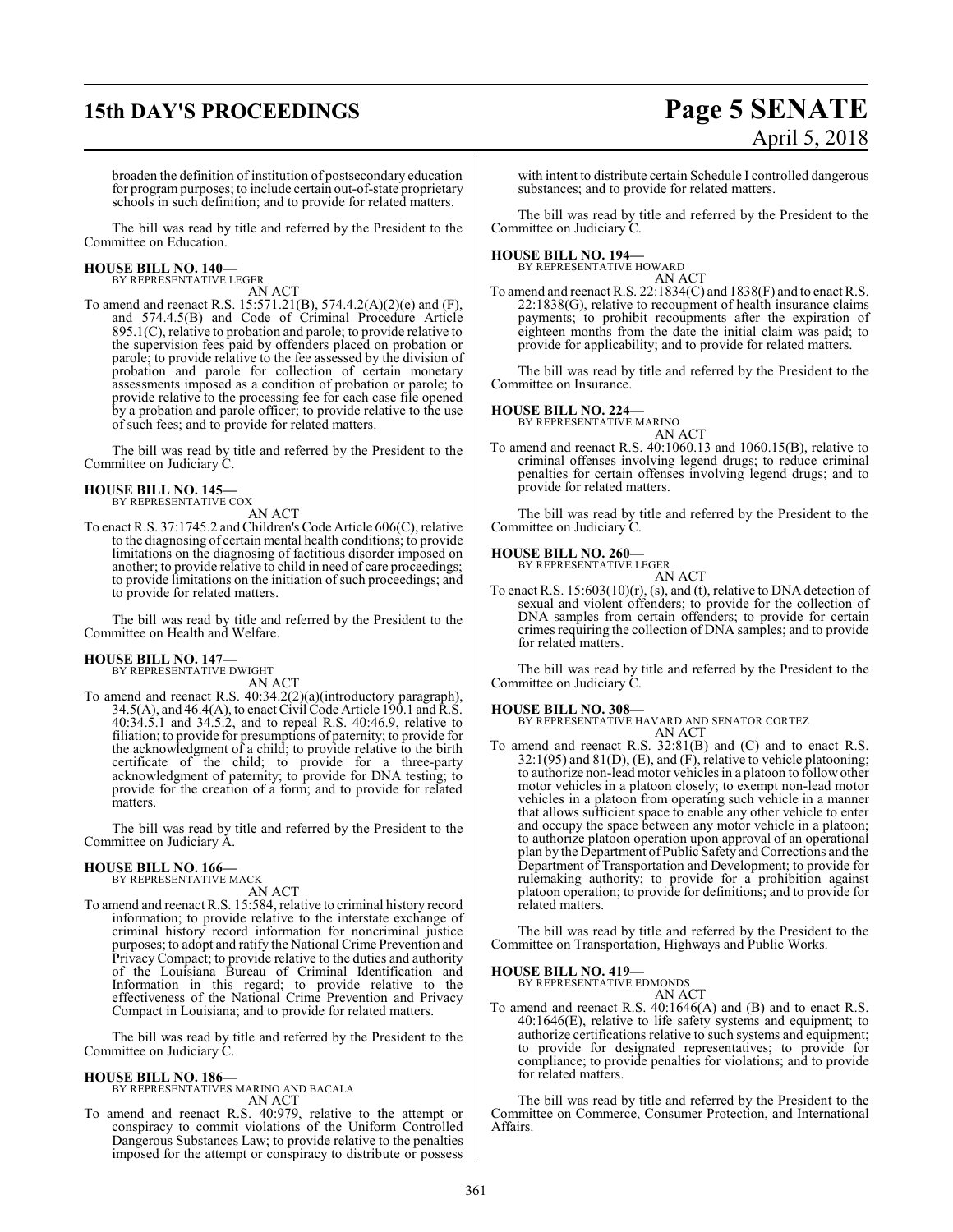## **15th DAY'S PROCEEDINGS Page 5 SENATE**

# April 5, 2018

broaden the definition of institution of postsecondary education for programpurposes; to include certain out-of-state proprietary schools in such definition; and to provide for related matters.

The bill was read by title and referred by the President to the Committee on Education.

### **HOUSE BILL NO. 140—** BY REPRESENTATIVE LEGER

AN ACT

To amend and reenact R.S. 15:571.21(B), 574.4.2(A)(2)(e) and (F), and 574.4.5(B) and Code of Criminal Procedure Article 895.1(C), relative to probation and parole; to provide relative to the supervision fees paid by offenders placed on probation or parole; to provide relative to the fee assessed by the division of probation and parole for collection of certain monetary assessments imposed as a condition of probation or parole; to provide relative to the processing fee for each case file opened by a probation and parole officer; to provide relative to the use of such fees; and to provide for related matters.

The bill was read by title and referred by the President to the Committee on Judiciary C.

### **HOUSE BILL NO. 145—**

BY REPRESENTATIVE COX

AN ACT

To enact R.S. 37:1745.2 andChildren's Code Article 606(C), relative to the diagnosing of certain mental health conditions; to provide limitations on the diagnosing of factitious disorder imposed on another; to provide relative to child in need of care proceedings; to provide limitations on the initiation of such proceedings; and to provide for related matters.

The bill was read by title and referred by the President to the Committee on Health and Welfare.

## **HOUSE BILL NO. 147—** BY REPRESENTATIVE DWIGHT

AN ACT

To amend and reenact R.S. 40:34.2(2)(a)(introductory paragraph),  $34.5(A)$ , and  $46.4(A)$ , to enact Civil Code Article 190.1 and R.S. 40:34.5.1 and 34.5.2, and to repeal R.S. 40:46.9, relative to filiation; to provide for presumptions of paternity; to provide for the acknowledgment of a child; to provide relative to the birth certificate of the child; to provide for a three-party acknowledgment of paternity; to provide for DNA testing; to provide for the creation of a form; and to provide for related matters.

The bill was read by title and referred by the President to the Committee on Judiciary A.

### **HOUSE BILL NO. 166—** BY REPRESENTATIVE MACK

AN ACT

To amend and reenact R.S. 15:584, relative to criminal history record information; to provide relative to the interstate exchange of criminal history record information for noncriminal justice purposes; to adopt and ratify the National Crime Prevention and Privacy Compact; to provide relative to the duties and authority of the Louisiana Bureau of Criminal Identification and Information in this regard; to provide relative to the effectiveness of the National Crime Prevention and Privacy Compact in Louisiana; and to provide for related matters.

The bill was read by title and referred by the President to the Committee on Judiciary C.

## **HOUSE BILL NO. 186—** BY REPRESENTATIVES MARINO AND BACALA

AN ACT

To amend and reenact R.S. 40:979, relative to the attempt or conspiracy to commit violations of the Uniform Controlled Dangerous Substances Law; to provide relative to the penalties imposed for the attempt or conspiracy to distribute or possess

with intent to distribute certain Schedule I controlled dangerous substances; and to provide for related matters.

The bill was read by title and referred by the President to the Committee on Judiciary C.

## **HOUSE BILL NO. 194—** BY REPRESENTATIVE HOWARD

AN ACT

To amend and reenact R.S. 22:1834(C) and 1838(F) and to enact R.S. 22:1838(G), relative to recoupment of health insurance claims payments; to prohibit recoupments after the expiration of eighteen months from the date the initial claim was paid; to provide for applicability; and to provide for related matters.

The bill was read by title and referred by the President to the Committee on Insurance.

### **HOUSE BILL NO. 224—**

BY REPRESENTATIVE MARINO

AN ACT

To amend and reenact R.S. 40:1060.13 and 1060.15(B), relative to criminal offenses involving legend drugs; to reduce criminal penalties for certain offenses involving legend drugs; and to provide for related matters.

The bill was read by title and referred by the President to the Committee on Judiciary C.

### **HOUSE BILL NO. 260—**

BY REPRESENTATIVE LEGER AN ACT

To enact R.S. 15:603(10)(r), (s), and (t), relative to DNA detection of sexual and violent offenders; to provide for the collection of DNA samples from certain offenders; to provide for certain crimes requiring the collection of DNA samples; and to provide for related matters.

The bill was read by title and referred by the President to the Committee on Judiciary C.

### **HOUSE BILL NO. 308—**

BY REPRESENTATIVE HAVARD AND SENATOR CORTEZ AN ACT

To amend and reenact R.S. 32:81(B) and (C) and to enact R.S.  $32:1(95)$  and  $81(D)$ , (E), and (F), relative to vehicle platooning; to authorize non-lead motor vehicles in a platoon to followother motor vehicles in a platoon closely; to exempt non-lead motor vehicles in a platoon from operating such vehicle in a manner that allows sufficient space to enable any other vehicle to enter and occupy the space between any motor vehicle in a platoon; to authorize platoon operation upon approval of an operational plan by the Department of Public Safety and Corrections and the Department of Transportation and Development; to provide for rulemaking authority; to provide for a prohibition against platoon operation; to provide for definitions; and to provide for related matters.

The bill was read by title and referred by the President to the Committee on Transportation, Highways and Public Works.

### **HOUSE BILL NO. 419—**

BY REPRESENTATIVE EDMONDS AN ACT

To amend and reenact R.S. 40:1646(A) and (B) and to enact R.S. 40:1646(E), relative to life safety systems and equipment; to authorize certifications relative to such systems and equipment; to provide for designated representatives; to provide for compliance; to provide penalties for violations; and to provide for related matters.

The bill was read by title and referred by the President to the Committee on Commerce, Consumer Protection, and International Affairs.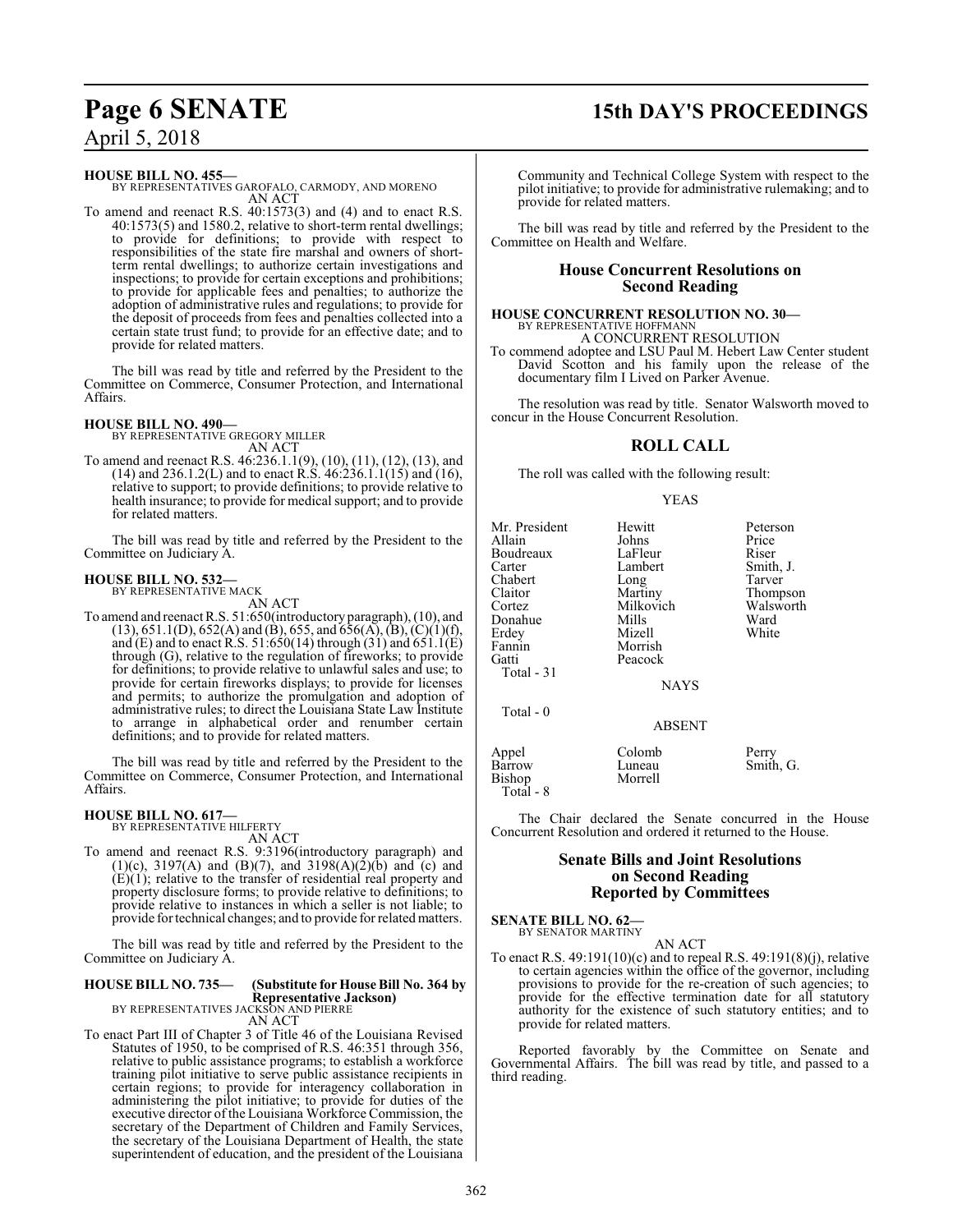### **Page 6 SENATE 15th DAY'S PROCEEDINGS**

### April 5, 2018

**HOUSE BILL NO. 455—**

BY REPRESENTATIVES GAROFALO, CARMODY, AND MORENO AN ACT

To amend and reenact R.S. 40:1573(3) and (4) and to enact R.S. 40:1573(5) and 1580.2, relative to short-term rental dwellings; to provide for definitions; to provide with respect to responsibilities of the state fire marshal and owners of shortterm rental dwellings; to authorize certain investigations and inspections; to provide for certain exceptions and prohibitions; to provide for applicable fees and penalties; to authorize the adoption of administrative rules and regulations; to provide for the deposit of proceeds from fees and penalties collected into a certain state trust fund; to provide for an effective date; and to provide for related matters.

The bill was read by title and referred by the President to the Committee on Commerce, Consumer Protection, and International Affairs.

### **HOUSE BILL NO. 490—** BY REPRESENTATIVE GREGORY MILLER

AN ACT

To amend and reenact R.S. 46:236.1.1(9), (10), (11), (12), (13), and  $(14)$  and 236.1.2(L) and to enact R.S.  $46:236.1.1(15)$  and  $(16)$ , relative to support; to provide definitions; to provide relative to health insurance; to provide for medical support; and to provide for related matters.

The bill was read by title and referred by the President to the Committee on Judiciary A.

#### **HOUSE BILL NO. 532—** BY REPRESENTATIVE MACK

AN ACT

To amend and reenact R.S. 51:650(introductory paragraph), (10), and (13), 651.1(D), 652(A) and (B), 655, and 656(A), (B), (C)(1)(f), and (E) and to enact R.S. 51:650(14) through  $(31)$  and  $651.1(E)$ through (G), relative to the regulation of fireworks; to provide for definitions; to provide relative to unlawful sales and use; to provide for certain fireworks displays; to provide for licenses and permits; to authorize the promulgation and adoption of administrative rules; to direct the Louisiana State Law Institute to arrange in alphabetical order and renumber certain definitions; and to provide for related matters.

The bill was read by title and referred by the President to the Committee on Commerce, Consumer Protection, and International Affairs.

### **HOUSE BILL NO. 617—** BY REPRESENTATIVE HILFERTY

AN ACT

To amend and reenact R.S. 9:3196(introductory paragraph) and (1)(c), 3197(A) and (B)(7), and 3198(A)(2)(b) and (c) and  $(E)(1)$ ; relative to the transfer of residential real property and property disclosure forms; to provide relative to definitions; to provide relative to instances in which a seller is not liable; to provide for technical changes; and to provide forrelated matters.

The bill was read by title and referred by the President to the Committee on Judiciary A.

### **HOUSE BILL NO. 735— (Substitute for House Bill No. 364 by Representative Jackson)** BY REPRESENTATIVES JACKSON AND PIERRE

AN ACT

To enact Part III of Chapter 3 of Title 46 of the Louisiana Revised Statutes of 1950, to be comprised of R.S. 46:351 through 356, relative to public assistance programs; to establish a workforce training pilot initiative to serve public assistance recipients in certain regions; to provide for interagency collaboration in administering the pilot initiative; to provide for duties of the executive director of the Louisiana Workforce Commission, the secretary of the Department of Children and Family Services, the secretary of the Louisiana Department of Health, the state superintendent of education, and the president of the Louisiana Community and Technical College System with respect to the pilot initiative; to provide for administrative rulemaking; and to provide for related matters.

The bill was read by title and referred by the President to the Committee on Health and Welfare.

### **House Concurrent Resolutions on Second Reading**

### **HOUSE CONCURRENT RESOLUTION NO. 30—** BY REPRESENTATIVE HOFFMANN A CONCURRENT RESOLUTION

To commend adoptee and LSU Paul M. Hebert Law Center student David Scotton and his family upon the release of the documentary film I Lived on Parker Avenue.

The resolution was read by title. Senator Walsworth moved to concur in the House Concurrent Resolution.

### **ROLL CALL**

The roll was called with the following result:

### YEAS

| Mr. President<br>Allain<br>Boudreaux<br>Carter<br>Chabert<br>Claitor | Hewitt<br>Johns<br>LaFleur<br>Lambert<br>Long<br>Martiny | Peterson<br>Price<br>Riser<br>Smith, J.<br>Tarver<br>Thompson |
|----------------------------------------------------------------------|----------------------------------------------------------|---------------------------------------------------------------|
| Cortez                                                               | Milkovich                                                | Walsworth                                                     |
| Donahue                                                              | Mills                                                    | Ward                                                          |
| Erdey                                                                | Mizell                                                   | White                                                         |
| Fannin                                                               | Morrish                                                  |                                                               |
| Gatti<br>Total - 31                                                  | Peacock<br><b>NAYS</b>                                   |                                                               |
| Total - 0                                                            | <b>ABSENT</b>                                            |                                                               |
| Appel<br>Barrow<br>Bishop<br>Total - 8                               | Colomb<br>Luneau<br>Morrell                              | Perry<br>Smith, G.                                            |

The Chair declared the Senate concurred in the House Concurrent Resolution and ordered it returned to the House.

### **Senate Bills and Joint Resolutions on Second Reading Reported by Committees**

#### **SENATE BILL NO. 62—** BY SENATOR MARTINY

AN ACT

To enact R.S. 49:191(10)(c) and to repeal R.S. 49:191(8)(j), relative to certain agencies within the office of the governor, including provisions to provide for the re-creation of such agencies; to provide for the effective termination date for all statutory authority for the existence of such statutory entities; and to provide for related matters.

Reported favorably by the Committee on Senate and Governmental Affairs. The bill was read by title, and passed to a third reading.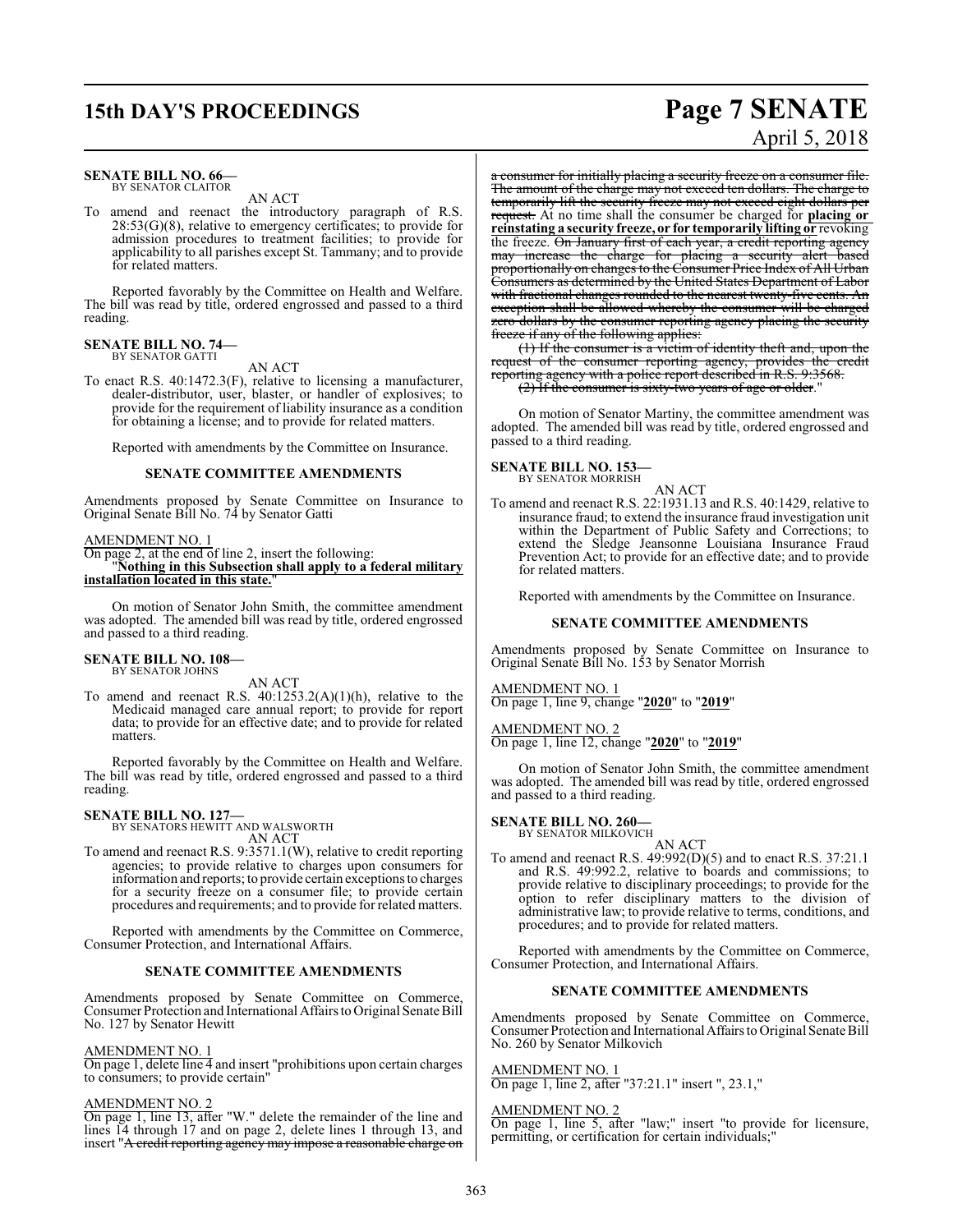## **15th DAY'S PROCEEDINGS Page 7 SENATE**

#### **SENATE BILL NO. 66—** BY SENATOR CLAITOR

### AN ACT

To amend and reenact the introductory paragraph of R.S. 28:53(G)(8), relative to emergency certificates; to provide for admission procedures to treatment facilities; to provide for applicability to all parishes except St. Tammany; and to provide for related matters.

Reported favorably by the Committee on Health and Welfare. The bill was read by title, ordered engrossed and passed to a third reading.

#### **SENATE BILL NO. 74—** BY SENATOR GATTI

### AN ACT

To enact R.S. 40:1472.3(F), relative to licensing a manufacturer, dealer-distributor, user, blaster, or handler of explosives; to provide for the requirement of liability insurance as a condition for obtaining a license; and to provide for related matters.

Reported with amendments by the Committee on Insurance.

### **SENATE COMMITTEE AMENDMENTS**

Amendments proposed by Senate Committee on Insurance to Original Senate Bill No. 74 by Senator Gatti

### AMENDMENT NO. 1

On page 2, at the end of line 2, insert the following: "**Nothing in this Subsection shall apply to a federal military** installation located in this state.

On motion of Senator John Smith, the committee amendment was adopted. The amended bill was read by title, ordered engrossed and passed to a third reading.

### **SENATE BILL NO. 108—** BY SENATOR JOHNS

AN ACT

To amend and reenact R.S. 40:1253.2(A)(1)(h), relative to the Medicaid managed care annual report; to provide for report data; to provide for an effective date; and to provide for related matters.

Reported favorably by the Committee on Health and Welfare. The bill was read by title, ordered engrossed and passed to a third reading.

### **SENATE BILL NO. 127—** BY SENATORS HEWITT AND WALSWORTH

AN ACT

To amend and reenact R.S. 9:3571.1(W), relative to credit reporting agencies; to provide relative to charges upon consumers for information and reports; to provide certain exceptionsto charges for a security freeze on a consumer file; to provide certain procedures and requirements; and to provide for related matters.

Reported with amendments by the Committee on Commerce, Consumer Protection, and International Affairs.

### **SENATE COMMITTEE AMENDMENTS**

Amendments proposed by Senate Committee on Commerce, Consumer Protection and International Affairs to Original Senate Bill No. 127 by Senator Hewitt

### AMENDMENT NO. 1

On page 1, delete line 4 and insert "prohibitions upon certain charges to consumers; to provide certain"

### AMENDMENT NO. 2

On page 1, line 13, after "W." delete the remainder of the line and lines 14 through 17 and on page 2, delete lines 1 through 13, and insert "A credit reporting agency may impose a reasonable charge on

# April 5, 2018

a consumer for initially placing a security freeze on a consumer file. The amount of the charge may not exceed ten dollars. The charge to temporarily lift the security freeze may not exceed eight dollars per request. At no time shall the consumer be charged for **placing or reinstating a security freeze, or for temporarily lifting or** revoking the freeze. On January first of each year, a credit reporting agency may increase the charge for placing a security alert based proportionally on changes to the Consumer Price Index of All Urban Consumers as determined by the United States Department of Labor with fractional changes rounded to the nearest twenty-five cents. An exception shall be allowed whereby the consumer will be charged zero dollars by the consumer reporting agency placing the security freeze if any of the following applies:

(1) If the consumer is a victim of identity theft and, upon the request of the consumer reporting agency, provides the credit reporting agency with a police report described in R.S. 9:3568. (2) If the consumer is sixty-two years of age or older."

On motion of Senator Martiny, the committee amendment was

adopted. The amended bill was read by title, ordered engrossed and passed to a third reading.

#### **SENATE BILL NO. 153—** BY SENATOR MORRISH

AN ACT

To amend and reenact R.S. 22:1931.13 and R.S. 40:1429, relative to insurance fraud; to extend the insurance fraud investigation unit within the Department of Public Safety and Corrections; to extend the Sledge Jeansonne Louisiana Insurance Fraud Prevention Act; to provide for an effective date; and to provide for related matters.

Reported with amendments by the Committee on Insurance.

### **SENATE COMMITTEE AMENDMENTS**

Amendments proposed by Senate Committee on Insurance to Original Senate Bill No. 153 by Senator Morrish

### AMENDMENT NO. 1

On page 1, line 9, change "**2020**" to "**2019**"

AMENDMENT NO. 2 On page 1, line 12, change "**2020**" to "**2019**"

On motion of Senator John Smith, the committee amendment was adopted. The amended bill was read by title, ordered engrossed and passed to a third reading.

#### **SENATE BILL NO. 260—**

BY SENATOR MILKOVICH AN ACT

To amend and reenact R.S. 49:992(D)(5) and to enact R.S. 37:21.1 and R.S. 49:992.2, relative to boards and commissions; to provide relative to disciplinary proceedings; to provide for the option to refer disciplinary matters to the division of administrative law; to provide relative to terms, conditions, and procedures; and to provide for related matters.

Reported with amendments by the Committee on Commerce, Consumer Protection, and International Affairs.

### **SENATE COMMITTEE AMENDMENTS**

Amendments proposed by Senate Committee on Commerce Consumer Protection and InternationalAffairs to Original Senate Bill No. 260 by Senator Milkovich

### AMENDMENT NO. 1

On page 1, line 2, after "37:21.1" insert ", 23.1,"

### AMENDMENT NO. 2

On page 1, line 5, after "law;" insert "to provide for licensure, permitting, or certification for certain individuals;"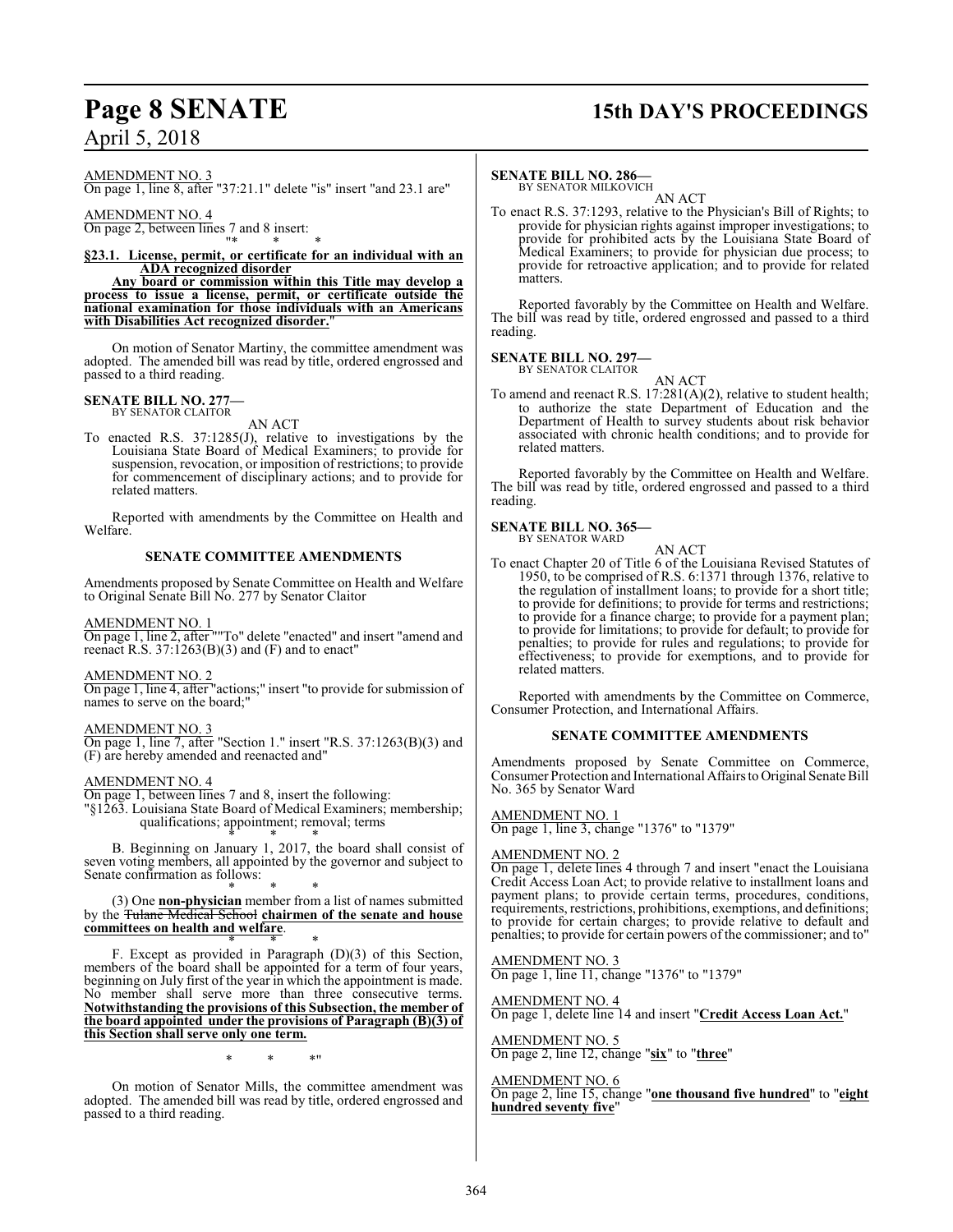## **Page 8 SENATE 15th DAY'S PROCEEDINGS**

April 5, 2018

AMENDMENT NO. 3

On page 1, line 8, after "37:21.1" delete "is" insert "and 23.1 are"

AMENDMENT NO. 4 On page 2, between lines  $\frac{7}{12}$  and 8 insert:

"\* \* \* **§23.1. License, permit, or certificate for an individual with an ADA recognized disorder**

**Any board or commission within this Title may develop a process to issue a license, permit, or certificate outside the national examination for those individuals with an Americans with Disabilities Act recognized disorder.**"

On motion of Senator Martiny, the committee amendment was adopted. The amended bill was read by title, ordered engrossed and passed to a third reading.

#### **SENATE BILL NO. 277—** BY SENATOR CLAITOR

AN ACT

To enacted R.S. 37:1285(J), relative to investigations by the Louisiana State Board of Medical Examiners; to provide for suspension, revocation, or imposition of restrictions; to provide for commencement of disciplinary actions; and to provide for related matters.

Reported with amendments by the Committee on Health and Welfare.

### **SENATE COMMITTEE AMENDMENTS**

Amendments proposed by Senate Committee on Health and Welfare to Original Senate Bill No. 277 by Senator Claitor

AMENDMENT NO. 1

On page 1, line 2, after ""To" delete "enacted" and insert "amend and reenact R.S.  $37:1263(B)(3)$  and (F) and to enact"

### AMENDMENT NO. 2

On page 1, line 4, after "actions;" insert "to provide for submission of names to serve on the board;"

AMENDMENT NO. 3

On page 1, line 7, after "Section 1." insert "R.S. 37:1263(B)(3) and (F) are hereby amended and reenacted and"

### AMENDMENT NO. 4

On page 1, between lines 7 and 8, insert the following:

"§1263. Louisiana State Board of Medical Examiners; membership; qualifications; appointment; removal; terms

\* \* \* B. Beginning on January 1, 2017, the board shall consist of seven voting members, all appointed by the governor and subject to Senate confirmation as follows:

\* \* \* (3) One **non-physician** member from a list of names submitted by the Tulane Medical School **chairmen of the senate and house committees on health and welfare**.

\* \* \* F. Except as provided in Paragraph (D)(3) of this Section, members of the board shall be appointed for a term of four years, beginning on July first of the year in which the appointment is made. No member shall serve more than three consecutive terms. **Notwithstanding the provisions of this Subsection, the member of the board appointed under the provisions of Paragraph (B)(3) of this Section shall serve only one term.**

\* \* \*"

On motion of Senator Mills, the committee amendment was adopted. The amended bill was read by title, ordered engrossed and passed to a third reading.

### **SENATE BILL NO. 286—**

BY SENATOR MILKOVICH AN ACT

To enact R.S. 37:1293, relative to the Physician's Bill of Rights; to provide for physician rights against improper investigations; to provide for prohibited acts by the Louisiana State Board of Medical Examiners; to provide for physician due process; to provide for retroactive application; and to provide for related matters.

Reported favorably by the Committee on Health and Welfare. The bill was read by title, ordered engrossed and passed to a third reading.

## **SENATE BILL NO. 297—** BY SENATOR CLAITOR

AN ACT

To amend and reenact R.S. 17:281(A)(2), relative to student health; to authorize the state Department of Education and the Department of Health to survey students about risk behavior associated with chronic health conditions; and to provide for related matters.

Reported favorably by the Committee on Health and Welfare. The bill was read by title, ordered engrossed and passed to a third reading.

### **SENATE BILL NO. 365—** BY SENATOR WARD

AN ACT

To enact Chapter 20 of Title 6 of the Louisiana Revised Statutes of 1950, to be comprised of R.S. 6:1371 through 1376, relative to the regulation of installment loans; to provide for a short title; to provide for definitions; to provide for terms and restrictions; to provide for a finance charge; to provide for a payment plan; to provide for limitations; to provide for default; to provide for penalties; to provide for rules and regulations; to provide for effectiveness; to provide for exemptions, and to provide for related matters.

Reported with amendments by the Committee on Commerce, Consumer Protection, and International Affairs.

### **SENATE COMMITTEE AMENDMENTS**

Amendments proposed by Senate Committee on Commerce, Consumer Protection and International Affairs to Original Senate Bill No. 365 by Senator Ward

AMENDMENT NO. 1 On page 1, line 3, change "1376" to "1379"

### AMENDMENT NO. 2

On page 1, delete lines 4 through 7 and insert "enact the Louisiana Credit Access Loan Act; to provide relative to installment loans and payment plans; to provide certain terms, procedures, conditions, requirements, restrictions, prohibitions, exemptions, and definitions; to provide for certain charges; to provide relative to default and penalties; to provide for certain powers of the commissioner; and to"

### AMENDMENT NO. 3

On page 1, line 11, change "1376" to "1379"

AMENDMENT NO. 4

On page 1, delete line 14 and insert "**Credit Access Loan Act.**"

AMENDMENT NO. 5 On page 2, line 12, change "**six**" to "**three**"

AMENDMENT NO. 6 On page 2, line 15, change "**one thousand five hundred**" to "**eight hundred seventy five**"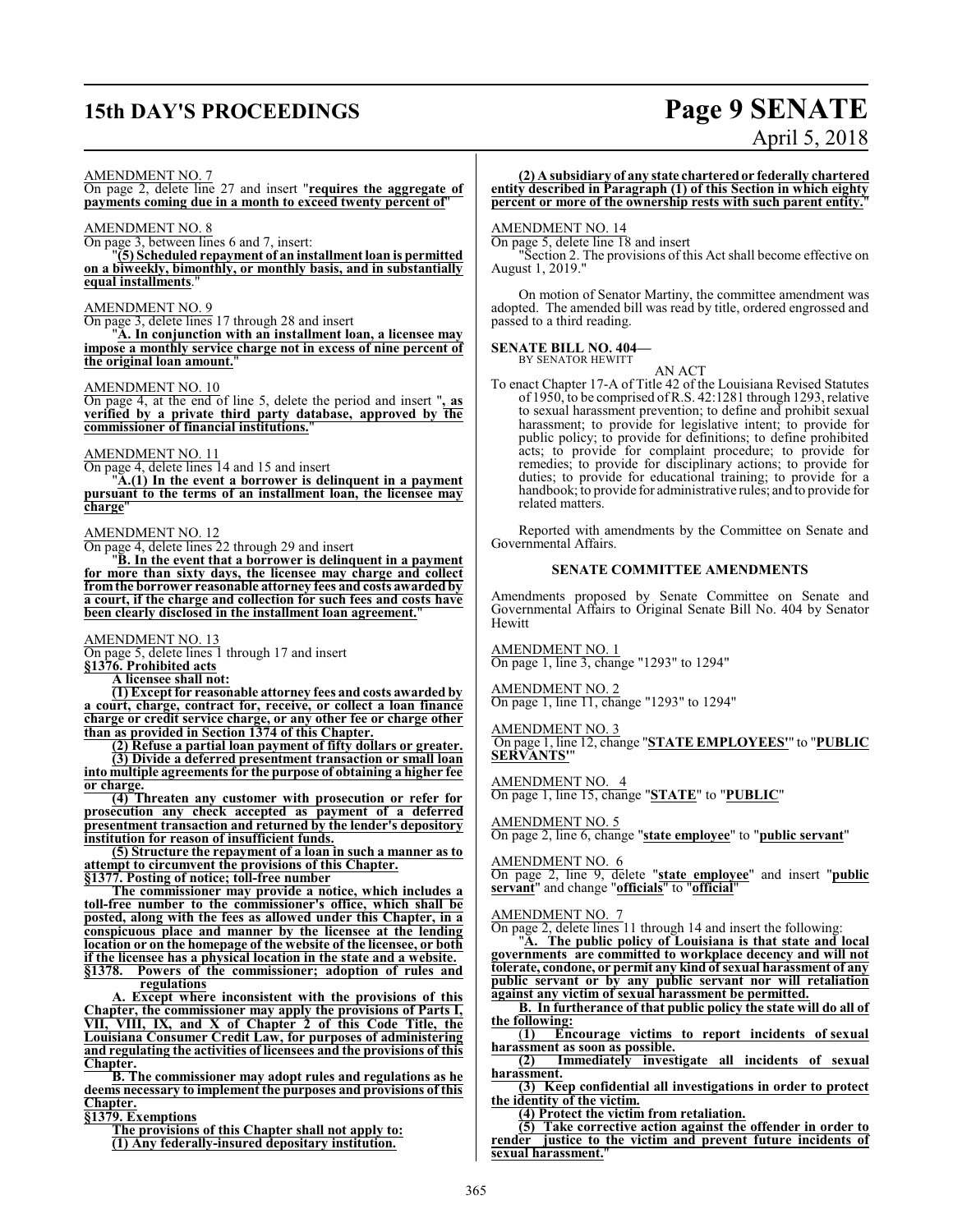## **15th DAY'S PROCEEDINGS Page 9 SENATE**

# April 5, 2018

#### AMENDMENT NO. 7

On page 2, delete line 27 and insert "**requires the aggregate of payments coming due in a month to exceed twenty percent of**"

### AMENDMENT NO. 8

On page 3, between lines 6 and 7, insert:

"**(5) Scheduled repayment of an installment loan is permitted on a biweekly, bimonthly, or monthly basis, and in substantially equal installments**."

### AMENDMENT NO. 9

On page 3, delete lines 17 through 28 and insert

"**A. In conjunction with an installment loan, a licensee may impose a monthly service charge not in excess of nine percent of the original loan amount.**"

### AMENDMENT NO. 10

On page 4, at the end of line 5, delete the period and insert "**, as verified by a private third party database, approved by the commissioner of financial institutions.**"

### AMENDMENT NO. 11

On page 4, delete lines 14 and 15 and insert

"**A.(1) In the event a borrower is delinquent in a payment pursuant to the terms of an installment loan, the licensee may charge**"

### AMENDMENT NO. 12

On page 4, delete lines 22 through 29 and insert

"**B. In the event that a borrower is delinquent in a payment for more than sixty days, the licensee may charge and collect fromthe borrower reasonable attorney fees and costs awarded by a court, if the charge and collection for such fees and costs have been clearly disclosed in the installment loan agreement.**"

### AMENDMENT NO. 13

On page 5, delete lines 1 through 17 and insert

**§1376. Prohibited acts A licensee shall not:**

**(1) Except for reasonable attorney fees and costs awarded by a court, charge, contract for, receive, or collect a loan finance charge or credit service charge, or any other fee or charge other than as provided in Section 1374 of this Chapter.**

**(2) Refuse a partial loan payment of fifty dollars or greater. (3) Divide a deferred presentment transaction or small loan into multiple agreements for the purpose of obtaining a higher fee or charge.**

**(4) Threaten any customer with prosecution or refer for prosecution any check accepted as payment of a deferred presentment transaction and returned by the lender's depository institution for reason of insufficient funds.**

**(5) Structure the repayment of a loan in such a manner as to attempt to circumvent the provisions of this Chapter.**

**§1377. Posting of notice; toll-free number**

**The commissioner may provide a notice, which includes a toll-free number to the commissioner's office, which shall be posted, along with the fees as allowed under this Chapter, in a conspicuous place and manner by the licensee at the lending location or on the homepage of the website of the licensee, or both if the licensee has a physical location in the state and a website.**<br>§1378. Powers of the commissioner; adoption of rules and **§1378. Powers of the commissioner; adoption of rules and**

**regulations**

**A. Except where inconsistent with the provisions of this Chapter, the commissioner may apply the provisions of Parts I, VII, VIII, IX, and X of Chapter 2 of this Code Title, the Louisiana Consumer Credit Law, for purposes of administering and regulating the activities of licensees and the provisions of this Chapter.**

**B. The commissioner may adopt rules and regulations as he deems necessary to implement the purposes and provisions of this Chapter.**

**§1379. Exemptions**

**The provisions of this Chapter shall not apply to: (1) Any federally-insured depositary institution.**

### **(2) A subsidiary of any state charteredor federally chartered entity described in Paragraph (1) of this Section in which eighty percent or more of the ownership rests with such parent entity.**"

### AMENDMENT NO. 14

On page 5, delete line 18 and insert

"Section 2. The provisions of this Act shall become effective on August 1, 2019."

On motion of Senator Martiny, the committee amendment was adopted. The amended bill was read by title, ordered engrossed and passed to a third reading.

#### **SENATE BILL NO. 404—** BY SENATOR HEWITT

AN ACT

To enact Chapter 17-A of Title 42 of the Louisiana Revised Statutes of 1950, to be comprised ofR.S. 42:1281 through 1293, relative to sexual harassment prevention; to define and prohibit sexual harassment; to provide for legislative intent; to provide for public policy; to provide for definitions; to define prohibited acts; to provide for complaint procedure; to provide for remedies; to provide for disciplinary actions; to provide for duties; to provide for educational training; to provide for a handbook; to provide for administrative rules; and to provide for related matters.

Reported with amendments by the Committee on Senate and Governmental Affairs.

### **SENATE COMMITTEE AMENDMENTS**

Amendments proposed by Senate Committee on Senate and Governmental Affairs to Original Senate Bill No. 404 by Senator Hewitt

AMENDMENT NO. 1 On page 1, line 3, change "1293" to 1294"

AMENDMENT NO. 2 On page 1, line 11, change "1293" to 1294"

AMENDMENT NO. 3 On page 1, line 12, change "**STATE EMPLOYEES'**" to "**PUBLIC SERVANTS'**"

AMENDMENT NO. 4 On page 1, line 15, change "**STATE**" to "**PUBLIC**"

### AMENDMENT NO. 5

On page 2, line 6, change "**state employee**" to "**public servant**"

### AMENDMENT NO. 6

On page 2, line 9, delete "**state employee**" and insert "**public servant**" and change "**officials**" to "**official**"

### AMENDMENT NO. 7

On page 2, delete lines 11 through 14 and insert the following:

"**A. The public policy of Louisiana is that state and local governments are committed to workplace decency and will not tolerate, condone, or permit any kind of sexual harassment of any public servant or by any public servant nor will retaliation against any victim of sexual harassment be permitted.**

**B. In furtherance of that public policy the state will do all of the following:**

(**1) Encourage victims to report incidents of sexual harassment as soon as possible.**

**(2) Immediately investigate all incidents of sexual harassment.**

**(3) Keep confidential all investigations in order to protect the identity of the victim.**

**(4) Protect the victim from retaliation.**

**(5) Take corrective action against the offender in order to render justice to the victim and prevent future incidents of sexual harassment.**"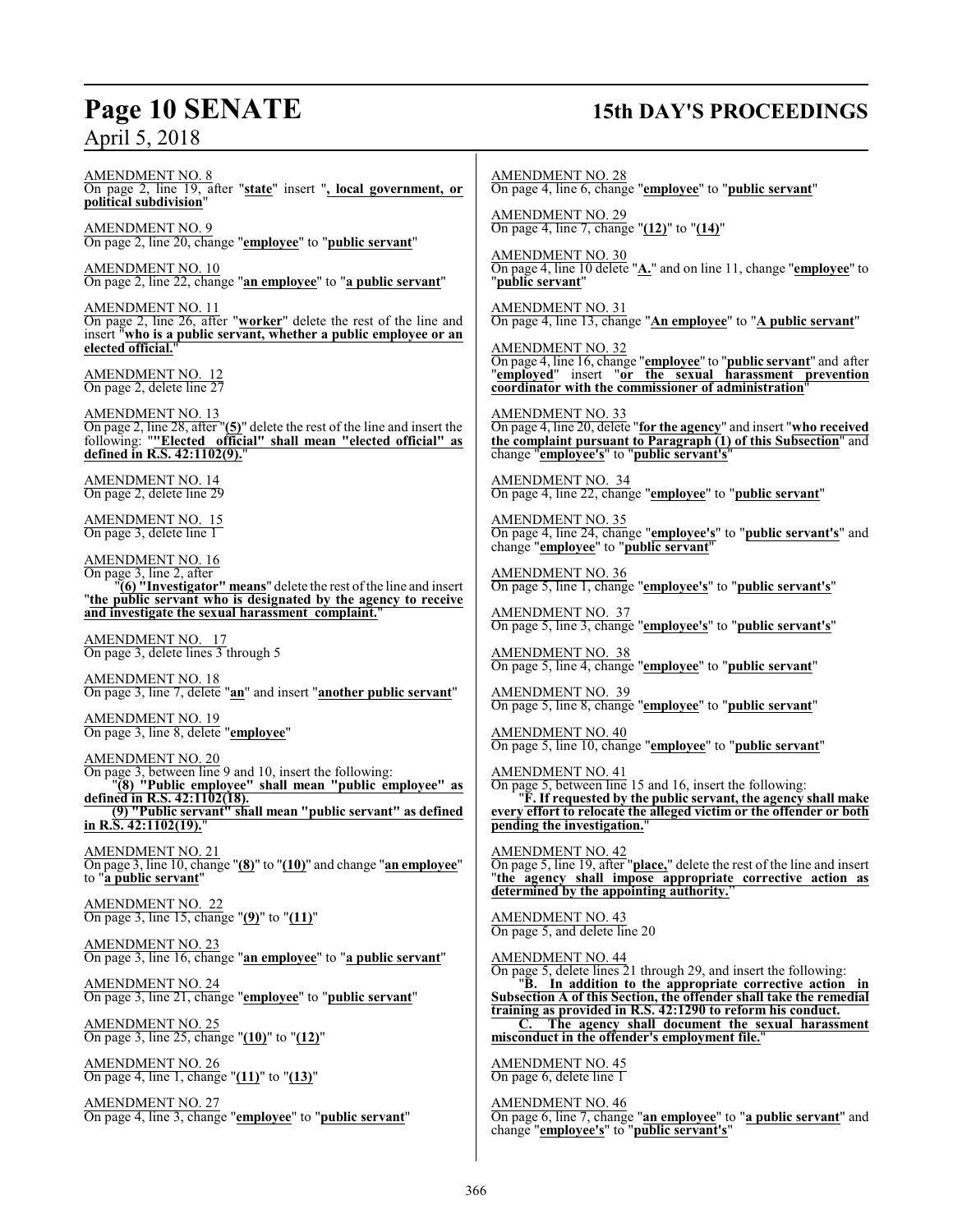### **Page 10 SENATE 15th DAY'S PROCEEDINGS**

AMENDMENT NO. 8 On page 2, line 19, after "**state**" insert "**, local government, or political subdivision**" AMENDMENT NO. 9 On page 2, line 20, change "**employee**" to "**public servant**" AMENDMENT NO. 10 On page 2, line 22, change "**an employee**" to "**a public servant**" AMENDMENT NO. 11 On page 2, line 26, after "**worker**" delete the rest of the line and insert "**who is a public servant, whether a public employee or an elected official.**" AMENDMENT NO. 12 On page 2, delete line 27 AMENDMENT NO. 13 On page 2, line 28, after "**(5)**" delete the rest of the line and insert the following: "**"Elected official" shall mean "elected official" as defined in R.S. 42:1102(9).**" AMENDMENT NO. 14 On page 2, delete line 29 AMENDMENT NO. 15 On page 3, delete line 1 AMENDMENT NO. 16 On page 3, line 2, after "**(6) "Investigator" means**" delete the rest ofthe line and insert "**the public servant who is designated by the agency to receive and investigate the sexual harassment complaint.**" AMENDMENT NO. 17 On page 3, delete lines 3 through 5 AMENDMENT NO. 18 On page 3, line 7, delete "**an**" and insert "**another public servant**" AMENDMENT NO. 19 On page 3, line 8, delete "**employee**" AMENDMENT NO. 20 On page 3, between line 9 and 10, insert the following: "**(8) "Public employee" shall mean "public employee" as defined in R.S. 42:1102(18). (9) "Public servant" shall mean "public servant" as defined in R.S. 42:1102(19).**" AMENDMENT NO. 21 On page 3, line 10, change "**(8)**" to "**(10)**" and change "**an employee**" to "**a public servant**" AMENDMENT NO. 22 On page 3, line 15, change "**(9)**" to "**(11)**" AMENDMENT NO. 23 On page 3, line 16, change "**an employee**" to "**a public servant**" AMENDMENT NO. 24 On page 3, line 21, change "**employee**" to "**public servant**" AMENDMENT NO. 25 On page 3, line 25, change "**(10)**" to "**(12)**" AMENDMENT NO. 26 On page 4, line 1, change "**(11)**" to "**(13)**" AMENDMENT NO. 27 On page 4, line 3, change "**employee**" to "**public servant**" AMENDMENT NO. 28 On page 4, line 6, change "**employee**" to "**public servant**" AMENDMENT NO. 29 On page 4, line 7, change "**(12)**" to "**(14)**" AMENDMENT NO. 30 On page 4, line 10 delete "**A.**" and on line 11, change "**employee**" to "**public servant**" AMENDMENT NO. 31 On page 4, line 13, change "**An employee**" to "**A public servant**" AMENDMENT NO. 32 On page 4, line 16, change "**employee**" to "**public servant**" and after "**employed**" insert "**or the sexual harassment prevention coordinator with the commissioner of administration**" AMENDMENT NO. 33 On page 4, line 20, delete "**for the agency**" and insert "**who received the complaint pursuant to Paragraph (1) of this Subsection**" and change "**employee's**" to "**public servant's**" AMENDMENT NO. 34 On page 4, line 22, change "**employee**" to "**public servant**" AMENDMENT NO. 35 On page 4, line 24, change "**employee's**" to "**public servant's**" and change "**employee**" to "**public servant**" AMENDMENT NO. 36 On page 5, line 1, change "**employee's**" to "**public servant's**" AMENDMENT NO. 37 On page 5, line 3, change "**employee's**" to "**public servant's**" AMENDMENT NO. 38 On page 5, line 4, change "**employee**" to "**public servant**" AMENDMENT NO. 39 On page 5, line 8, change "**employee**" to "**public servant**" AMENDMENT NO. 40 On page 5, line 10, change "**employee**" to "**public servant**" AMENDMENT NO. 41 On page 5, between line 15 and 16, insert the following: "**F. If requested by the public servant, the agency shall make every effort to relocate the alleged victim or the offender or both pending the investigation.**" AMENDMENT NO. 42 On page 5, line 19, after "**place,**" delete the rest of the line and insert "**the agency shall impose appropriate corrective action as determined by the appointing authority.**" AMENDMENT NO. 43 On page 5, and delete line 20 AMENDMENT NO. 44 On page 5, delete lines 21 through 29, and insert the following: "**B. In addition to the appropriate corrective action in Subsection A of this Section, the offender shall take the remedial training as provided in R.S. 42:1290 to reform his conduct. C. The agency shall document the sexual harassment misconduct in the offender's employment file.**" AMENDMENT NO. 45 On page 6, delete line 1 AMENDMENT NO. 46 On page 6, line 7, change "**an employee**" to "**a public servant**" and change "**employee's**" to "**public servant's**"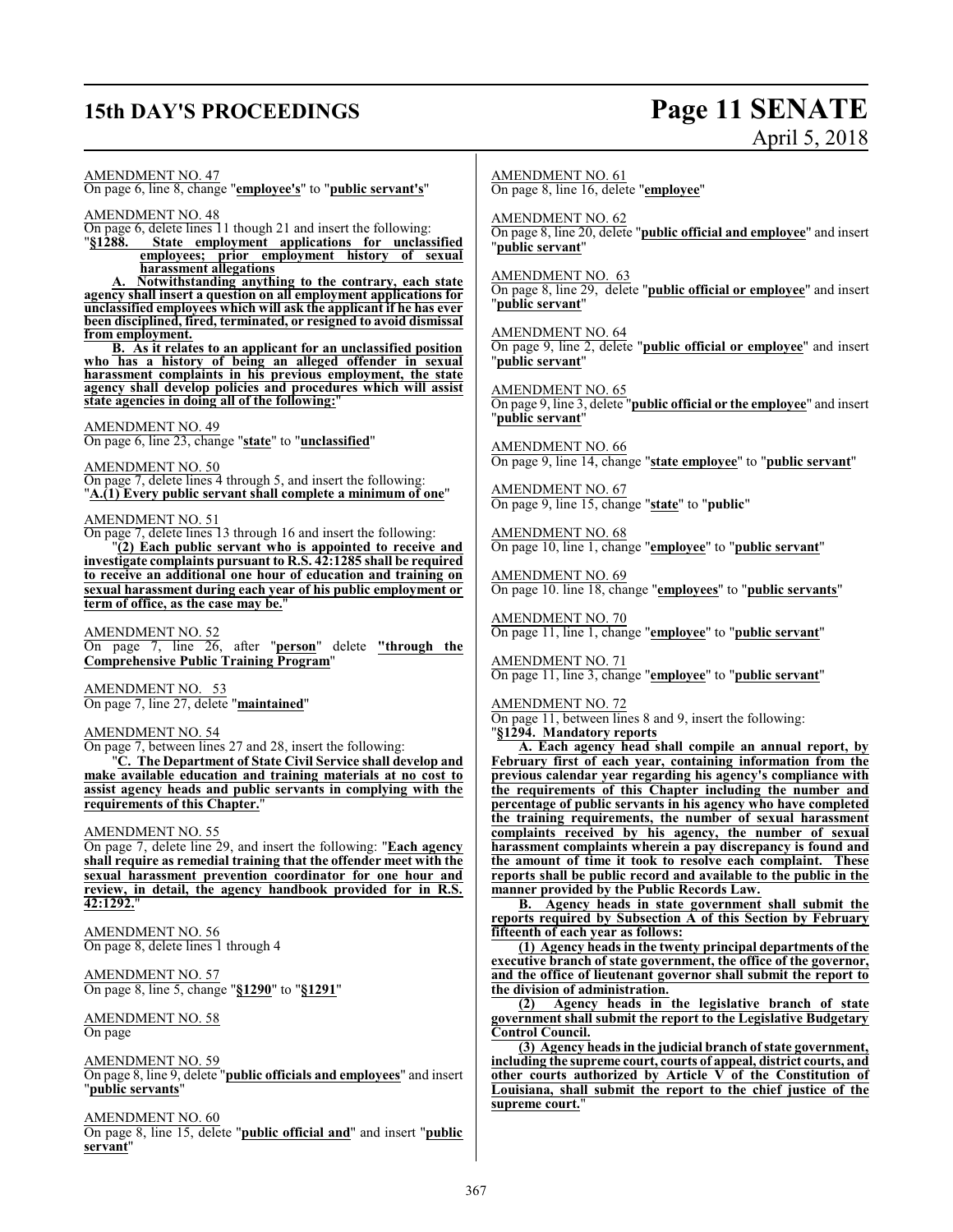## **15th DAY'S PROCEEDINGS Page 11 SENATE**

# April 5, 2018

AMENDMENT NO. 47

On page 6, line 8, change "**employee's**" to "**public servant's**"

AMENDMENT NO. 48

On page 6, delete lines 11 though 21 and insert the following: "§1288. State employment applications for unclas

State employment applications for unclassified **employees; prior employment history of sexual harassment allegations**

**A. Notwithstanding anything to the contrary, each state agency shall insert a question on all employment applications for unclassified employees which will ask the applicant if he has ever been disciplined, fired, terminated, or resigned to avoid dismissal from employment.**

**B. As it relates to an applicant for an unclassified position who has a history of being an alleged offender in sexual harassment complaints in his previous employment, the state agency shall develop policies and procedures which will assist state agencies in doing all of the following:**"

### AMENDMENT NO. 49

On page 6, line 23, change "**state**" to "**unclassified**"

AMENDMENT NO. 50

On page 7, delete lines 4 through 5, and insert the following: "**A.(1) Every public servant shall complete a minimum of one**"

### AMENDMENT NO. 51

On page 7, delete lines 13 through 16 and insert the following: "**(2) Each public servant who is appointed to receive and investigate complaints pursuant to R.S. 42:1285 shall be required to receive an additional one hour of education and training on sexual harassment during each year of his public employment or term of office, as the case may be.**"

AMENDMENT NO. 52 On page 7, line 26, after "**person**" delete **"through the Comprehensive Public Training Program**"

AMENDMENT NO. 53 On page 7, line 27, delete "**maintained**"

AMENDMENT NO. 54

On page 7, between lines 27 and 28, insert the following:

"**C. The Department of State Civil Service shall develop and make available education and training materials at no cost to assist agency heads and public servants in complying with the requirements of this Chapter.**"

### AMENDMENT NO. 55

On page 7, delete line 29, and insert the following: "**Each agency shall require as remedial training that the offender meet with the sexual harassment prevention coordinator for one hour and review, in detail, the agency handbook provided for in R.S. 42:1292.**"

AMENDMENT NO. 56 On page 8, delete lines 1 through 4

AMENDMENT NO. 57 On page 8, line 5, change "**§1290**" to "**§1291**"

### AMENDMENT NO. 58

On page

AMENDMENT NO. 59

On page 8, line 9, delete "**public officials and employees**" and insert "**public servants**"

AMENDMENT NO. 60

On page 8, line 15, delete "**public official and**" and insert "**public servant**"

AMENDMENT NO. 61

On page 8, line 16, delete "**employee**"

AMENDMENT NO. 62

On page 8, line 20, delete "**public official and employee**" and insert "**public servant**"

AMENDMENT NO. 63

On page 8, line 29, delete "**public official or employee**" and insert "**public servant**"

AMENDMENT NO. 64 On page 9, line 2, delete "**public official or employee**" and insert "**public servant**"

AMENDMENT NO. 65

On page 9, line 3, delete "**public official or the employee**" and insert "**public servant**"

AMENDMENT NO. 66 On page 9, line 14, change "**state employee**" to "**public servant**"

AMENDMENT NO. 67 On page 9, line 15, change "**state**" to "**public**"

AMENDMENT NO. 68 On page 10, line 1, change "**employee**" to "**public servant**"

AMENDMENT NO. 69 On page 10. line 18, change "**employees**" to "**public servants**"

AMENDMENT NO. 70 On page 11, line 1, change "**employee**" to "**public servant**"

AMENDMENT NO. 71 On page 11, line 3, change "**employee**" to "**public servant**"

### AMENDMENT NO. 72

On page 11, between lines 8 and 9, insert the following: "**§1294. Mandatory reports**

**A. Each agency head shall compile an annual report, by February first of each year, containing information from the previous calendar year regarding his agency's compliance with the requirements of this Chapter including the number and percentage of public servants in his agency who have completed the training requirements, the number of sexual harassment complaints received by his agency, the number of sexual harassment complaints wherein a pay discrepancy is found and the amount of time it took to resolve each complaint. These reports shall be public record and available to the public in the manner provided by the Public Records Law.**

**B. Agency heads in state government shall submit the reports required by Subsection A of this Section by February fifteenth of each year as follows:**

**(1) Agency heads in the twenty principal departments of the executive branch of state government, the office of the governor, and the office of lieutenant governor shall submit the report to the division of administration.**

**(2) Agency heads in the legislative branch of state government shall submit the report to the Legislative Budgetary Control Council.**

**(3) Agency heads in the judicial branch of state government, including the supreme court, courts of appeal, district courts, and other courts authorized by Article V of the Constitution of Louisiana, shall submit the report to the chief justice of the supreme court.**"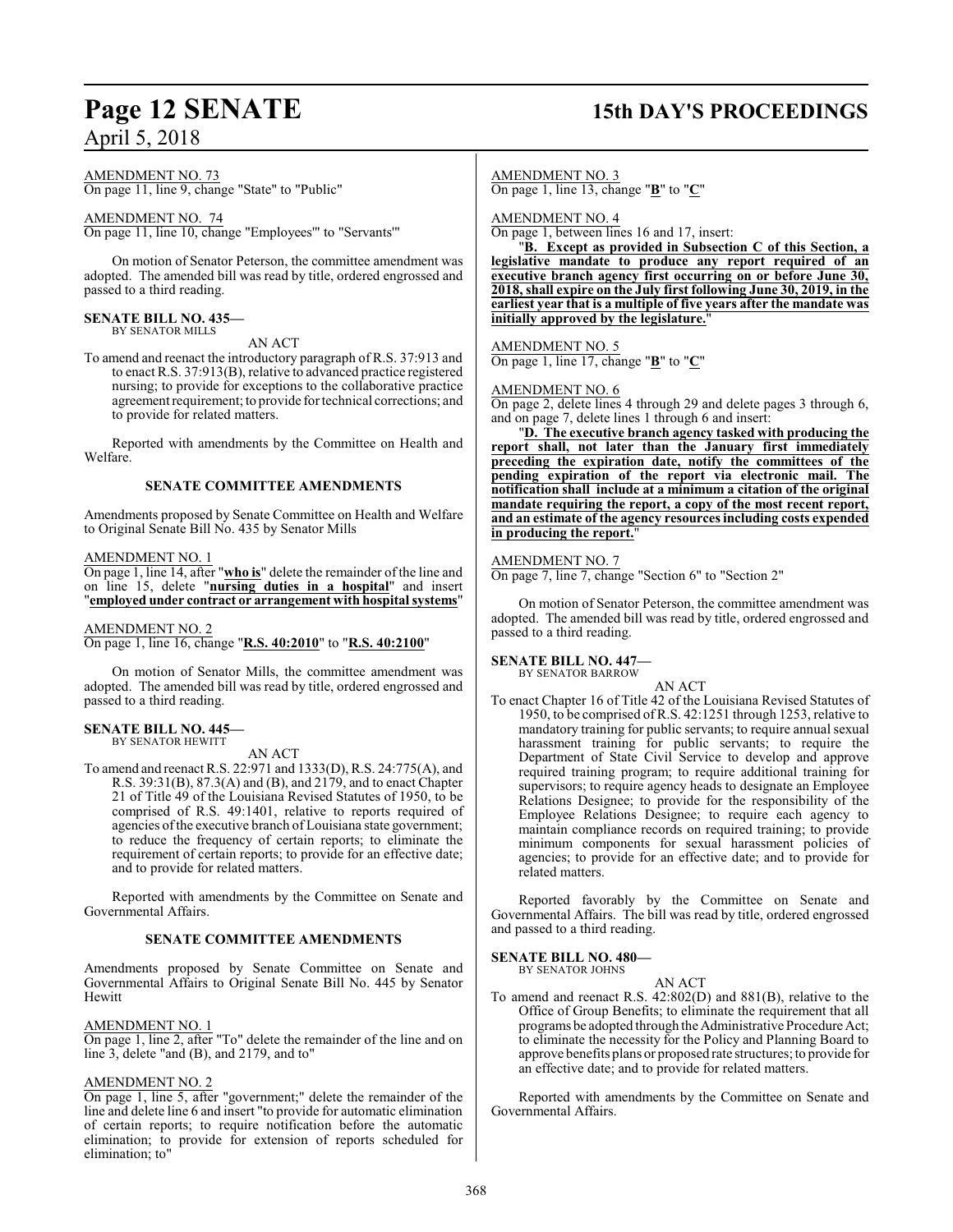## **Page 12 SENATE 15th DAY'S PROCEEDINGS**

AMENDMENT NO. 73

On page 11, line 9, change "State" to "Public"

### AMENDMENT NO. 74

On page 11, line 10, change "Employees'" to "Servants'"

On motion of Senator Peterson, the committee amendment was adopted. The amended bill was read by title, ordered engrossed and passed to a third reading.

#### **SENATE BILL NO. 435—** BY SENATOR MILLS

AN ACT

To amend and reenact the introductory paragraph of R.S. 37:913 and to enact R.S. 37:913(B), relative to advanced practice registered nursing; to provide for exceptions to the collaborative practice agreement requirement; to provide for technical corrections; and to provide for related matters.

Reported with amendments by the Committee on Health and Welfare.

### **SENATE COMMITTEE AMENDMENTS**

Amendments proposed by Senate Committee on Health and Welfare to Original Senate Bill No. 435 by Senator Mills

### AMENDMENT NO. 1

On page 1, line 14, after "**who is**" delete the remainder of the line and on line 15, delete "**nursing duties in a hospital**" and insert "**employed under contract or arrangement with hospital systems**"

### AMENDMENT NO. 2

On page 1, line 16, change "**R.S. 40:2010**" to "**R.S. 40:2100**"

On motion of Senator Mills, the committee amendment was adopted. The amended bill was read by title, ordered engrossed and passed to a third reading.

#### **SENATE BILL NO. 445—** BY SENATOR HEWITT

AN ACT

To amend and reenact R.S. 22:971 and 1333(D), R.S. 24:775(A), and R.S. 39:31(B), 87.3(A) and (B), and 2179, and to enact Chapter 21 of Title 49 of the Louisiana Revised Statutes of 1950, to be comprised of R.S. 49:1401, relative to reports required of agencies of the executive branch of Louisiana state government; to reduce the frequency of certain reports; to eliminate the requirement of certain reports; to provide for an effective date; and to provide for related matters.

Reported with amendments by the Committee on Senate and Governmental Affairs.

### **SENATE COMMITTEE AMENDMENTS**

Amendments proposed by Senate Committee on Senate and Governmental Affairs to Original Senate Bill No. 445 by Senator Hewitt

### AMENDMENT NO. 1

On page 1, line 2, after "To" delete the remainder of the line and on line 3, delete "and (B), and 2179, and to"

### AMENDMENT NO. 2

On page 1, line 5, after "government;" delete the remainder of the line and delete line 6 and insert "to provide for automatic elimination of certain reports; to require notification before the automatic elimination; to provide for extension of reports scheduled for elimination; to"

AMENDMENT NO. 3

On page 1, line 13, change "**B**" to "**C**"

AMENDMENT NO. 4

On page 1, between lines 16 and 17, insert:

"**B. Except as provided in Subsection C of this Section, a legislative mandate to produce any report required of an executive branch agency first occurring on or before June 30, 2018, shall expire on the July first following June 30, 2019, in the earliest year that is a multiple of five years after the mandate was initially approved by the legislature.**"

### AMENDMENT NO. 5

On page 1, line 17, change "**B**" to "**C**"

### AMENDMENT NO. 6

On page 2, delete lines 4 through 29 and delete pages 3 through 6, and on page 7, delete lines 1 through 6 and insert:

"**D. The executive branch agency tasked with producing the report shall, not later than the January first immediately preceding the expiration date, notify the committees of the pending expiration of the report via electronic mail. The notification shall include at a minimum a citation of the original mandate requiring the report, a copy of the most recent report, and an estimate of the agency resources including costs expended in producing the report.**"

### AMENDMENT NO. 7

On page 7, line 7, change "Section 6" to "Section 2"

On motion of Senator Peterson, the committee amendment was adopted. The amended bill was read by title, ordered engrossed and passed to a third reading.

#### **SENATE BILL NO. 447—** BY SENATOR BARROW

AN ACT

To enact Chapter 16 of Title 42 of the Louisiana Revised Statutes of 1950, to be comprised ofR.S. 42:1251 through 1253, relative to mandatory training for public servants; to require annual sexual harassment training for public servants; to require the Department of State Civil Service to develop and approve required training program; to require additional training for supervisors; to require agency heads to designate an Employee Relations Designee; to provide for the responsibility of the Employee Relations Designee; to require each agency to maintain compliance records on required training; to provide minimum components for sexual harassment policies of agencies; to provide for an effective date; and to provide for related matters.

Reported favorably by the Committee on Senate and Governmental Affairs. The bill was read by title, ordered engrossed and passed to a third reading.

**SENATE BILL NO. 480—** BY SENATOR JOHNS

### AN ACT

To amend and reenact R.S. 42:802(D) and 881(B), relative to the Office of Group Benefits; to eliminate the requirement that all programs be adopted through the Administrative Procedure Act; to eliminate the necessity for the Policy and Planning Board to approve benefits plans or proposed rate structures; to provide for an effective date; and to provide for related matters.

Reported with amendments by the Committee on Senate and Governmental Affairs.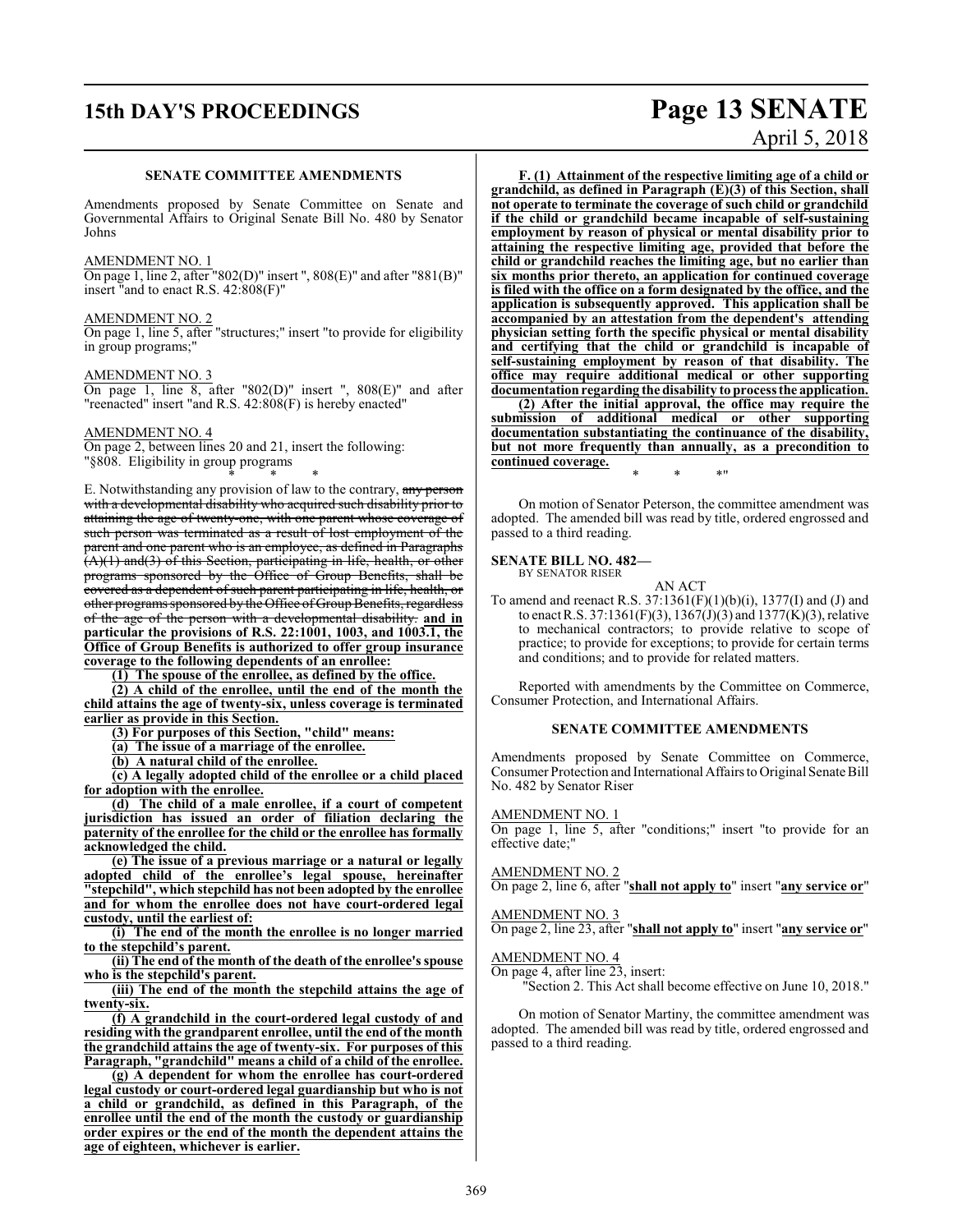## **15th DAY'S PROCEEDINGS Page 13 SENATE**

### **SENATE COMMITTEE AMENDMENTS**

Amendments proposed by Senate Committee on Senate and Governmental Affairs to Original Senate Bill No. 480 by Senator Johns

### AMEND<u>MENT NO. 1</u>

On page 1, line 2, after "802(D)" insert ", 808(E)" and after "881(B)" insert "and to enact R.S. 42:808(F)"

### AMENDMENT NO. 2

On page 1, line 5, after "structures;" insert "to provide for eligibility in group programs;"

### AMENDMENT NO. 3

On page 1, line 8, after "802(D)" insert ",  $808(E)$ " and after "reenacted" insert "and R.S. 42:808(F) is hereby enacted"

### AMENDMENT NO. 4

On page 2, between lines 20 and 21, insert the following: "§808. Eligibility in group programs

\* \* \* E. Notwithstanding any provision of law to the contrary, any person with a developmental disability who acquired such disability prior to<br>attaining the age of twenty-one, with one parent whose coverage of attaining the age of twenty-one, with one parent whose coverage such person was terminated as a result of lost employment of the parent and one parent who is an employee, as defined in Paragraphs (A)(1) and(3) of this Section, participating in life, health, or other programs sponsored by the Office of Group Benefits, shall be covered as a dependent of such parent participating in life, health, or other programs sponsored by the Office of Group Benefits, regardless of the age of the person with a developmental disability. **and in particular the provisions of R.S. 22:1001, 1003, and 1003.1, the Office of Group Benefits is authorized to offer group insurance coverage to the following dependents of an enrollee:**

**(1) The spouse of the enrollee, as defined by the office.**

**(2) A child of the enrollee, until the end of the month the child attains the age of twenty-six, unless coverage is terminated earlier as provide in this Section.**

**(3) For purposes of this Section, "child" means:**

**(a) The issue of a marriage of the enrollee.**

**(b) A natural child of the enrollee.**

**(c) A legally adopted child of the enrollee or a child placed for adoption with the enrollee.**

**(d) The child of a male enrollee, if a court of competent jurisdiction has issued an order of filiation declaring the paternity of the enrollee for the child or the enrollee has formally acknowledged the child.**

**(e) The issue of a previous marriage or a natural or legally adopted child of the enrollee's legal spouse, hereinafter "stepchild", which stepchild has not been adopted by the enrollee and for whom the enrollee does not have court-ordered legal custody, until the earliest of:**

**(i) The end of the month the enrollee is no longer married to the stepchild's parent.**

**(ii) The end of the month of the death of the enrollee's spouse who is the stepchild's parent.**

**(iii) The end of the month the stepchild attains the age of twenty-six.**

**(f) A grandchild in the court-ordered legal custody of and residing with the grandparent enrollee, until the end of the month the grandchild attains the age of twenty-six. For purposes of this Paragraph, "grandchild" means a child of a child of the enrollee.**

**(g) A dependent for whom the enrollee has court-ordered legal custody or court-ordered legal guardianship but who is not a child or grandchild, as defined in this Paragraph, of the enrollee until the end of the month the custody or guardianship order expires or the end of the month the dependent attains the age of eighteen, whichever is earlier.**

# April 5, 2018

**F. (1) Attainment of the respective limiting age of a child or grandchild, as defined in Paragraph (E)(3) of this Section, shall not operate to terminate the coverage of such child or grandchild if the child or grandchild became incapable of self-sustaining employment by reason of physical or mental disability prior to attaining the respective limiting age, provided that before the child or grandchild reaches the limiting age, but no earlier than six months prior thereto, an application for continued coverage is filed with the office on a form designated by the office, and the application is subsequently approved. This application shall be accompanied by an attestation from the dependent's attending physician setting forth the specific physical or mental disability and certifying that the child or grandchild is incapable of self-sustaining employment by reason of that disability. The office may require additional medical or other supporting documentationregarding the disability to process the application.**

**(2) After the initial approval, the office may require the submission of additional medical or other supporting documentation substantiating the continuance of the disability, but not more frequently than annually, as a precondition to continued coverage.**

On motion of Senator Peterson, the committee amendment was adopted. The amended bill was read by title, ordered engrossed and passed to a third reading.

\* \* \*"

#### **SENATE BILL NO. 482—** BY SENATOR RISER

### AN ACT

To amend and reenact R.S. 37:1361(F)(1)(b)(i), 1377(I) and (J) and to enact R.S. 37:1361(F)(3), 1367(J)(3) and 1377(K)(3), relative to mechanical contractors; to provide relative to scope of practice; to provide for exceptions; to provide for certain terms and conditions; and to provide for related matters.

Reported with amendments by the Committee on Commerce, Consumer Protection, and International Affairs.

### **SENATE COMMITTEE AMENDMENTS**

Amendments proposed by Senate Committee on Commerce, Consumer Protection and International Affairs to Original Senate Bill No. 482 by Senator Riser

### AMENDMENT NO. 1

On page 1, line 5, after "conditions;" insert "to provide for an effective date;"

### AMENDMENT NO. 2

On page 2, line 6, after "**shall not apply to**" insert "**any service or**"

### AMENDMENT NO. 3

On page 2, line 23, after "**shall not apply to**" insert "**any service or**"

### AMENDMENT NO. 4

On page 4, after line 23, insert:

"Section 2. This Act shall become effective on June 10, 2018."

On motion of Senator Martiny, the committee amendment was adopted. The amended bill was read by title, ordered engrossed and passed to a third reading.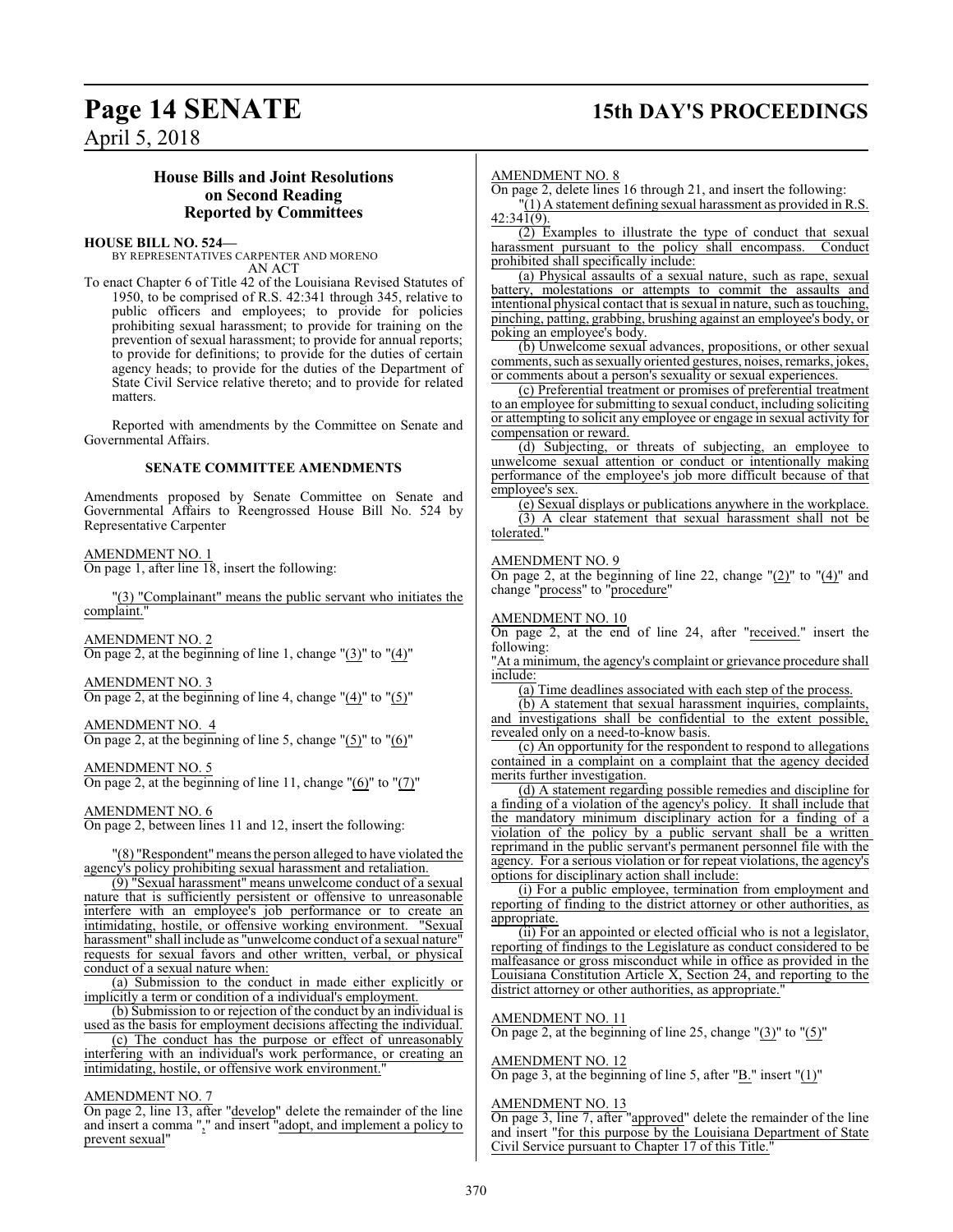## **Page 14 SENATE 15th DAY'S PROCEEDINGS**

April 5, 2018

### **House Bills and Joint Resolutions on Second Reading Reported by Committees**

**HOUSE BILL NO. 524—**

BY REPRESENTATIVES CARPENTER AND MORENO AN ACT

To enact Chapter 6 of Title 42 of the Louisiana Revised Statutes of 1950, to be comprised of R.S. 42:341 through 345, relative to public officers and employees; to provide for policies prohibiting sexual harassment; to provide for training on the prevention of sexual harassment; to provide for annual reports; to provide for definitions; to provide for the duties of certain agency heads; to provide for the duties of the Department of State Civil Service relative thereto; and to provide for related matters.

Reported with amendments by the Committee on Senate and Governmental Affairs.

### **SENATE COMMITTEE AMENDMENTS**

Amendments proposed by Senate Committee on Senate and Governmental Affairs to Reengrossed House Bill No. 524 by Representative Carpenter

### AMENDMENT NO. 1

On page 1, after line 18, insert the following:

"(3) "Complainant" means the public servant who initiates the complaint."

AMENDMENT NO. 2 On page 2, at the beginning of line 1, change  $\degree$ (3) $\degree$  to  $\degree$ (4) $\degree$ 

AMENDMENT NO. 3 On page 2, at the beginning of line 4, change  $(4)$ " to  $(5)$ "

AMENDMENT NO. 4 On page 2, at the beginning of line 5, change " $(5)$ " to " $(6)$ "

AMENDMENT NO. 5

On page 2, at the beginning of line 11, change " $(6)$ " to " $(7)$ "

AMENDMENT NO. 6

On page 2, between lines 11 and 12, insert the following:

"(8) "Respondent"means the person alleged to have violated the agency's policy prohibiting sexual harassment and retaliation.

(9) "Sexual harassment" means unwelcome conduct of a sexual nature that is sufficiently persistent or offensive to unreasonable interfere with an employee's job performance or to create an intimidating, hostile, or offensive working environment. "Sexual harassment" shall include as "unwelcome conduct of a sexual nature" requests for sexual favors and other written, verbal, or physical conduct of a sexual nature when:

(a) Submission to the conduct in made either explicitly or implicitly a term or condition of a individual's employment.

(b) Submission to or rejection of the conduct by an individual is used as the basis for employment decisions affecting the individual.

(c) The conduct has the purpose or effect of unreasonably interfering with an individual's work performance, or creating an intimidating, hostile, or offensive work environment.'

### AMENDMENT NO. 7

On page 2, line 13, after "develop" delete the remainder of the line and insert a comma "," and insert "adopt, and implement a policy to prevent sexual"

### AMENDMENT NO. 8

On page 2, delete lines 16 through 21, and insert the following:

 $\Gamma(1)$  A statement defining sexual harassment as provided in R.S.  $42:34\overline{1(9)}$ .

(2) Examples to illustrate the type of conduct that sexual harassment pursuant to the policy shall encompass. prohibited shall specifically include:

(a) Physical assaults of a sexual nature, such as rape, sexual battery, molestations or attempts to commit the assaults and intentional physical contact that is sexual in nature, such as touching, pinching, patting, grabbing, brushing against an employee's body, or poking an employee's body.

(b) Unwelcome sexual advances, propositions, or other sexual comments, such as sexually oriented gestures, noises, remarks, jokes, or comments about a person's sexuality or sexual experiences.

(c) Preferential treatment or promises of preferential treatment to an employee for submitting to sexual conduct, including soliciting or attempting to solicit any employee or engage in sexual activity for compensation or reward.

(d) Subjecting, or threats of subjecting, an employee to unwelcome sexual attention or conduct or intentionally making performance of the employee's job more difficult because of that employee's sex.

(e) Sexual displays or publications anywhere in the workplace. (3) A clear statement that sexual harassment shall not be tolerated.

### AMENDMENT NO. 9

On page 2, at the beginning of line 22, change "(2)" to "(4)" and change "process" to "procedure"

### AMENDMENT NO. 10

On page 2, at the end of line 24, after "received." insert the following:

"At a minimum, the agency's complaint or grievance procedure shall include:

(a) Time deadlines associated with each step of the process.

(b) A statement that sexual harassment inquiries, complaints, and investigations shall be confidential to the extent possible, revealed only on a need-to-know basis.

(c) An opportunity for the respondent to respond to allegations contained in a complaint on a complaint that the agency decided merits further investigation.

(d) A statement regarding possible remedies and discipline for a finding of a violation of the agency's policy. It shall include that the mandatory minimum disciplinary action for a finding of a violation of the policy by a public servant shall be a written reprimand in the public servant's permanent personnel file with the agency. For a serious violation or for repeat violations, the agency's options for disciplinary action shall include:

(i) For a public employee, termination from employment and reporting of finding to the district attorney or other authorities, as appropriate.

(ii) For an appointed or elected official who is not a legislator, reporting of findings to the Legislature as conduct considered to be malfeasance or gross misconduct while in office as provided in the Louisiana Constitution Article X, Section 24, and reporting to the district attorney or other authorities, as appropriate.

### AMENDMENT NO. 11

On page 2, at the beginning of line 25, change "(3)" to "(5)"

### AMENDMENT NO. 12

On page 3, at the beginning of line 5, after " $\underline{B}$ ." insert " $(1)$ "

### AMENDMENT NO. 13

On page 3, line 7, after "approved" delete the remainder of the line and insert "for this purpose by the Louisiana Department of State Civil Service pursuant to Chapter 17 of this Title."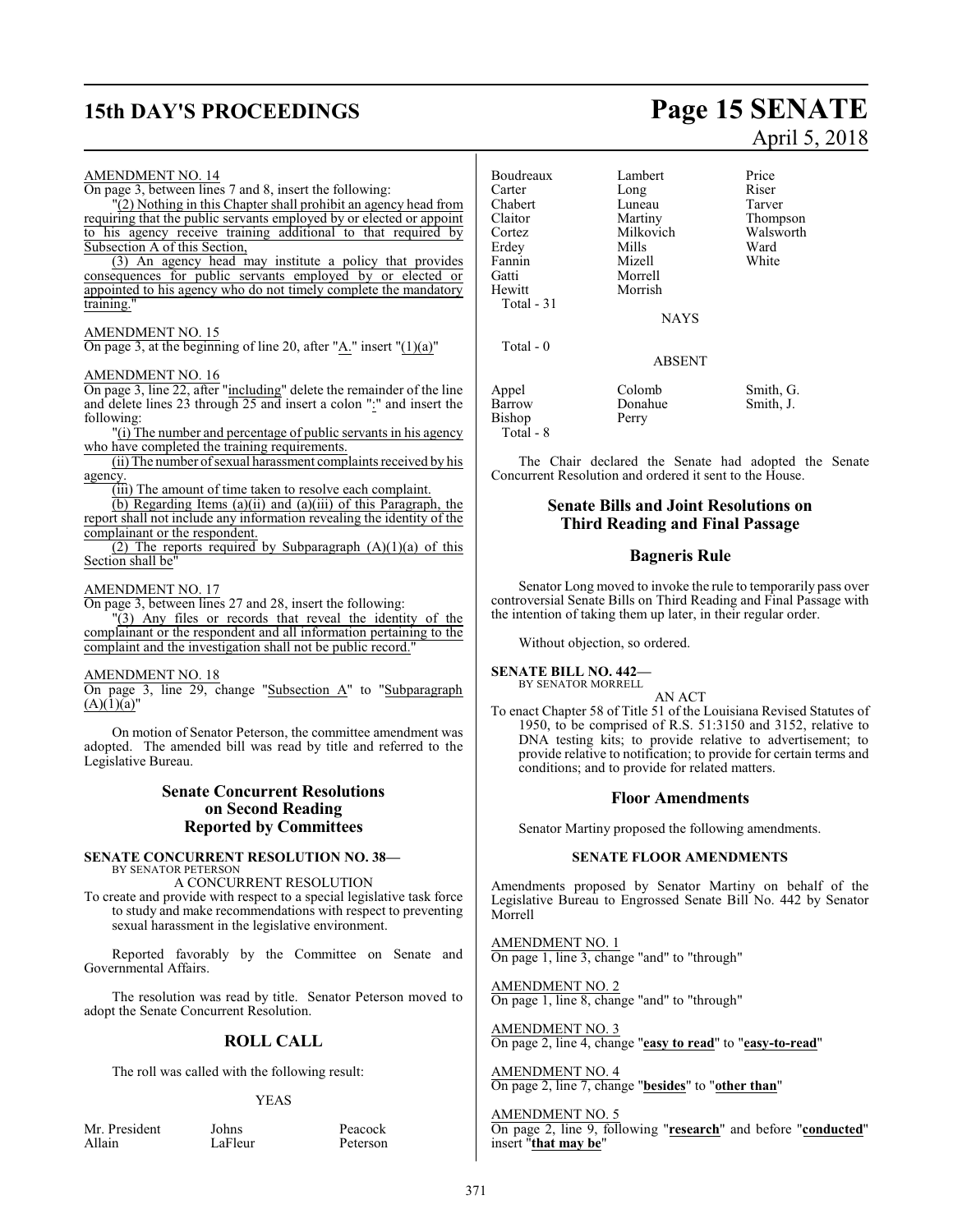## **15th DAY'S PROCEEDINGS Page 15 SENATE**

#### AMENDMENT NO. 14 On page 3, between lines 7 and 8, insert the following: "(2) Nothing in this Chapter shall prohibit an agency head from requiring that the public servants employed by or elected or appoint to his agency receive training additional to that required by Subsection A of this Section, (3) An agency head may institute a policy that provides consequences for public servants employed by or elected or appointed to his agency who do not timely complete the mandatory training." AMENDMENT NO. 15 On page 3, at the beginning of line 20, after " $\underline{A}$ ." insert " $(1)(a)$ " AMENDMENT NO. 16 On page 3, line 22, after "including" delete the remainder of the line and delete lines 23 through 25 and insert a colon ":" and insert the following: "(i) The number and percentage of public servants in his agency who have completed the training requirements. (ii) The number ofsexual harassment complaints received by his agency. (iii) The amount of time taken to resolve each complaint.  $\overline{b}$  (b) Regarding Items (a)(ii) and (a)(iii) of this Paragraph, the report shall not include any information revealing the identity of the complainant or the respondent. (2) The reports required by Subparagraph  $(A)(1)(a)$  of this Section shall be" AMENDMENT NO. 17 On page 3, between lines 27 and 28, insert the following: "(3) Any files or records that reveal the identity of the complainant or the respondent and all information pertaining to the complaint and the investigation shall not be public record." AMENDMENT NO. 18 On page 3, line 29, change "Subsection A" to "Subparagraph  $(A)(1)(a)''$ On motion of Senator Peterson, the committee amendment was adopted. The amended bill was read by title and referred to the Legislative Bureau. **Senate Concurrent Resolutions on Second Reading Reported by Committees SENATE CONCURRENT RESOLUTION NO. 38—** BY SENATOR PETERSON A CONCURRENT RESOLUTION Boudreaux Lambert Price<br>Carter Long Riser Carter Long Riser<br>
Chabert Luneau Tarver Chabert Luneau<br>Claitor Martiny Claitor Martiny Thompson Milkovich Walsworth<br>
Mills Ward **Erdey** Fannin Mizell White Gatti Morrell Morrish Total - 31 **NAYS**  Total - 0 ABSENT Appel Colomb Smith, G.<br>
Barrow Donahue Smith, J. Donahue Smith, J.<br>Perry Bishop Total - 8 The Chair declared the Senate had adopted the Senate Concurrent Resolution and ordered it sent to the House. **Senate Bills and Joint Resolutions on Third Reading and Final Passage Bagneris Rule** the intention of taking them up later, in their regular order. Without objection, so ordered. **SENATE BILL NO. 442—** BY SENATOR MORRELL AN ACT conditions; and to provide for related matters. **Floor Amendments** Senator Martiny proposed the following amendments. **SENATE FLOOR AMENDMENTS**

To create and provide with respect to a special legislative task force to study and make recommendations with respect to preventing sexual harassment in the legislative environment.

Reported favorably by the Committee on Senate and Governmental Affairs.

The resolution was read by title. Senator Peterson moved to adopt the Senate Concurrent Resolution.

### **ROLL CALL**

The roll was called with the following result:

### YEAS

Mr. President Johns Peacock<br>Allain LaFleur Peterson

Peterson

April 5, 2018

Senator Long moved to invoke the rule to temporarily pass over controversial Senate Bills on Third Reading and Final Passage with

To enact Chapter 58 of Title 51 of the Louisiana Revised Statutes of 1950, to be comprised of R.S. 51:3150 and 3152, relative to DNA testing kits; to provide relative to advertisement; to provide relative to notification; to provide for certain terms and

Amendments proposed by Senator Martiny on behalf of the Legislative Bureau to Engrossed Senate Bill No. 442 by Senator Morrell

AMENDMENT NO. 1 On page 1, line 3, change "and" to "through"

AMENDMENT NO. 2 On page 1, line 8, change "and" to "through"

AMENDMENT NO. 3 On page 2, line 4, change "**easy to read**" to "**easy-to-read**"

AMENDMENT NO. 4 On page 2, line 7, change "**besides**" to "**other than**"

AMENDMENT NO. 5 On page 2, line 9, following "**research**" and before "**conducted**" insert "**that may be**"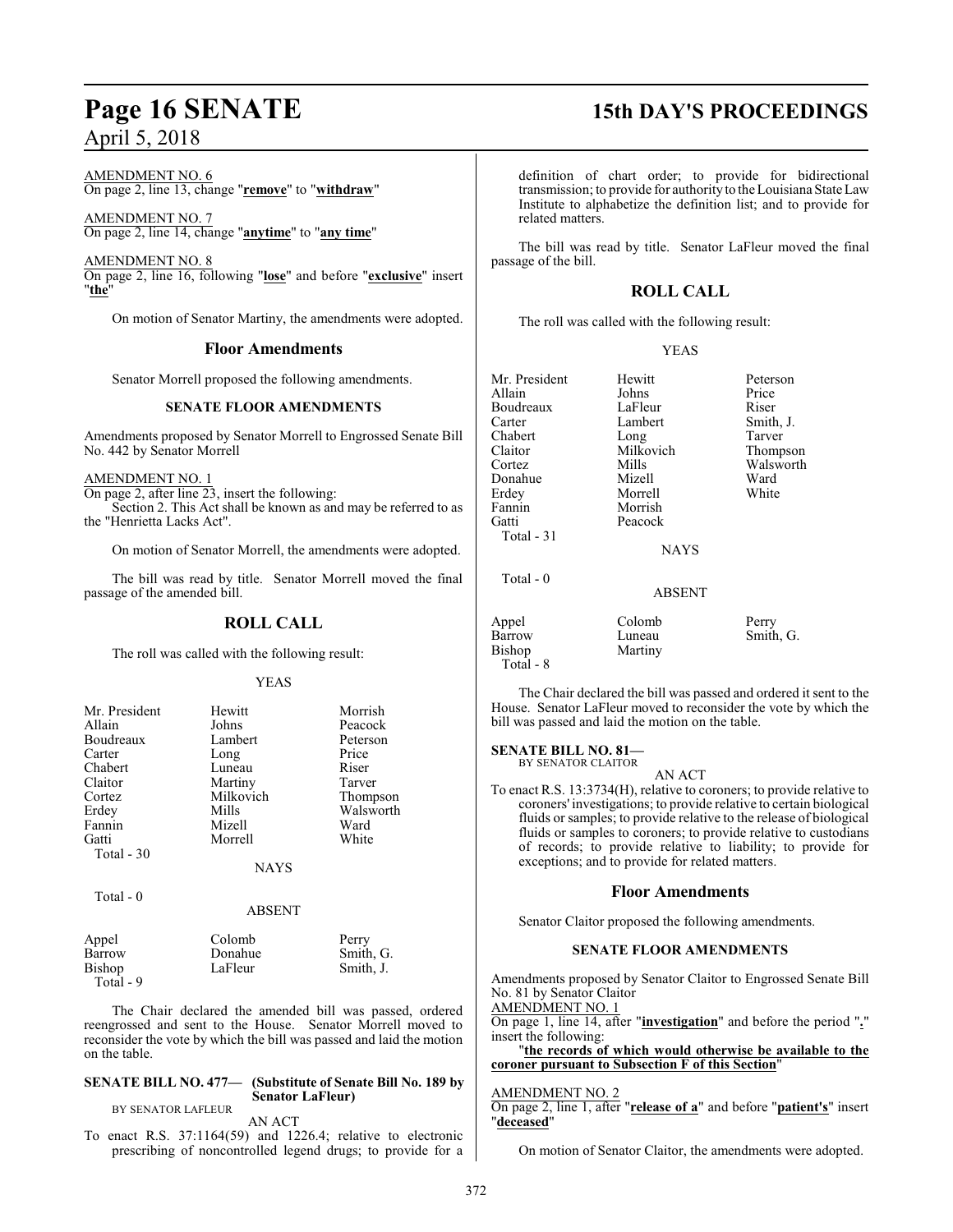AMENDMENT NO. 6 On page 2, line 13, change "**remove**" to "**withdraw**"

AMENDMENT NO. 7 On page 2, line 14, change "**anytime**" to "**any time**"

AMENDMENT NO. 8 On page 2, line 16, following "**lose**" and before "**exclusive**" insert "**the**"

On motion of Senator Martiny, the amendments were adopted.

### **Floor Amendments**

Senator Morrell proposed the following amendments.

### **SENATE FLOOR AMENDMENTS**

Amendments proposed by Senator Morrell to Engrossed Senate Bill No. 442 by Senator Morrell

### AMENDMENT NO. 1

On page 2, after line 23, insert the following: Section 2. This Act shall be known as and may be referred to as the "Henrietta Lacks Act".

On motion of Senator Morrell, the amendments were adopted.

The bill was read by title. Senator Morrell moved the final passage of the amended bill.

### **ROLL CALL**

The roll was called with the following result:

### YEAS

| Mr. President | Hewitt      | Morrish   |
|---------------|-------------|-----------|
| Allain        | Johns       | Peacock   |
| Boudreaux     | Lambert     | Peterson  |
| Carter        | Long        | Price     |
| Chabert       | Luneau      | Riser     |
| Claitor       | Martiny     | Tarver    |
| Cortez        | Milkovich   | Thompson  |
| Erdey         | Mills       | Walsworth |
| Fannin        | Mizell      | Ward      |
| Gatti         | Morrell     | White     |
| Total - 30    |             |           |
|               | <b>NAYS</b> |           |

Total - 0

### ABSENT

| Appel     | Colomb  | Perry     |
|-----------|---------|-----------|
| Barrow    | Donahue | Smith, G. |
| Bishop    | LaFleur | Smith, J. |
| Total - 9 |         |           |

The Chair declared the amended bill was passed, ordered reengrossed and sent to the House. Senator Morrell moved to reconsider the vote by which the bill was passed and laid the motion on the table.

### **SENATE BILL NO. 477— (Substitute of Senate Bill No. 189 by Senator LaFleur)**

BY SENATOR LAFLEUR

AN ACT

To enact R.S. 37:1164(59) and 1226.4; relative to electronic prescribing of noncontrolled legend drugs; to provide for a

### **Page 16 SENATE 15th DAY'S PROCEEDINGS**

definition of chart order; to provide for bidirectional transmission; to provide for authority to the Louisiana State Law Institute to alphabetize the definition list; and to provide for related matters.

The bill was read by title. Senator LaFleur moved the final passage of the bill.

### **ROLL CALL**

The roll was called with the following result:

### YEAS

| Mr. President                    | Hewitt                      | Peterson           |
|----------------------------------|-----------------------------|--------------------|
| Allain                           | Johns                       | Price              |
| Boudreaux                        | LaFleur                     | Riser              |
| Carter                           | Lambert                     | Smith, J.          |
| Chabert                          | Long                        | Tarver             |
| Claitor                          | Milkovich                   | Thompson           |
| Cortez                           | Mills                       | Walsworth          |
| Donahue                          | Mizell                      | Ward               |
| Erdey                            | Morrell                     | White              |
| Fannin                           | Morrish                     |                    |
| Gatti                            | Peacock                     |                    |
| Total $-31$                      |                             |                    |
|                                  | <b>NAYS</b>                 |                    |
| Total $-0$                       |                             |                    |
|                                  | ABSENT                      |                    |
|                                  |                             |                    |
|                                  |                             |                    |
|                                  |                             |                    |
| Appel<br><b>Barrow</b><br>Bishop | Colomb<br>Luneau<br>Martinv | Perry<br>Smith, G. |

The Chair declared the bill was passed and ordered it sent to the House. Senator LaFleur moved to reconsider the vote by which the bill was passed and laid the motion on the table.

**SENATE BILL NO. 81—**

Total - 8

BY SENATOR CLAITOR

AN ACT

To enact R.S. 13:3734(H), relative to coroners; to provide relative to coroners' investigations; to provide relative to certain biological fluids or samples; to provide relative to the release of biological fluids or samples to coroners; to provide relative to custodians of records; to provide relative to liability; to provide for exceptions; and to provide for related matters.

### **Floor Amendments**

Senator Claitor proposed the following amendments.

### **SENATE FLOOR AMENDMENTS**

Amendments proposed by Senator Claitor to Engrossed Senate Bill No. 81 by Senator Claitor

AMENDMENT NO. 1 On page 1, line 14, after "**investigation**" and before the period "**.**" insert the following:

"**the records of which would otherwise be available to the coroner pursuant to Subsection F of this Section**"

### AMENDMENT NO. 2

On page 2, line 1, after "**release of a**" and before "**patient's**" insert "**deceased**"

On motion of Senator Claitor, the amendments were adopted.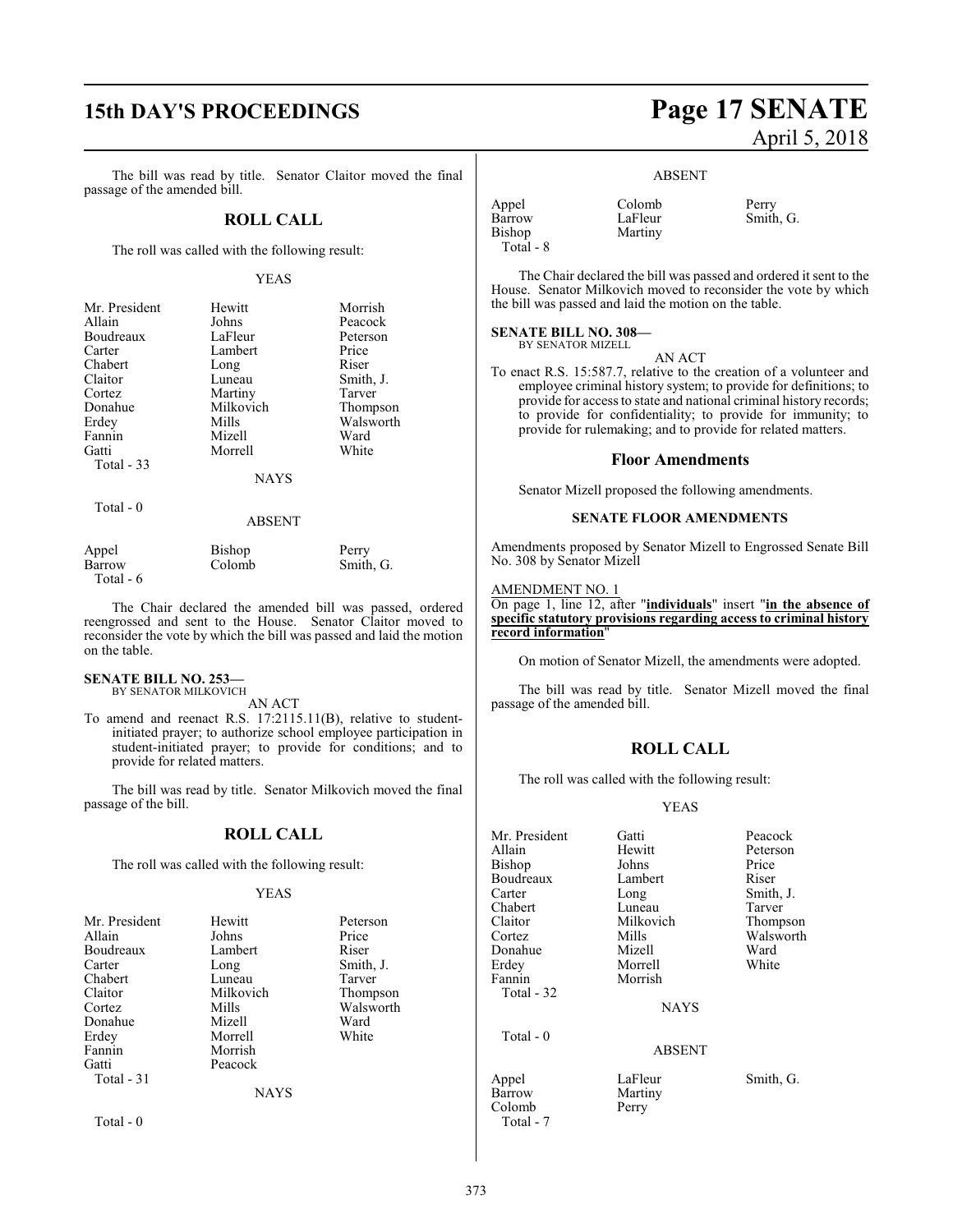The bill was read by title. Senator Claitor moved the final passage of the amended bill.

### **ROLL CALL**

The roll was called with the following result:

### YEAS

| Mr. President | Hewitt      | Morrish   |
|---------------|-------------|-----------|
| Allain        | Johns       | Peacock   |
| Boudreaux     | LaFleur     | Peterson  |
| Carter        | Lambert     | Price     |
| Chabert       | Long        | Riser     |
| Claitor       | Luneau      | Smith, J. |
| Cortez        | Martiny     | Tarver    |
| Donahue       | Milkovich   | Thompson  |
| Erdey         | Mills       | Walsworth |
| Fannin        | Mizell      | Ward      |
| Gatti         | Morrell     | White     |
| Total $-33$   |             |           |
|               | <b>NAYS</b> |           |
|               |             |           |

Total - 0

### ABSENT

| Appel     | Bishop | Perry     |
|-----------|--------|-----------|
| Barrow    | Colomb | Smith, G. |
| Total - 6 |        |           |

The Chair declared the amended bill was passed, ordered reengrossed and sent to the House. Senator Claitor moved to reconsider the vote by which the bill was passed and laid the motion on the table.

### **SENATE BILL NO. 253—** BY SENATOR MILKOVICH

AN ACT

To amend and reenact R.S. 17:2115.11(B), relative to studentinitiated prayer; to authorize school employee participation in student-initiated prayer; to provide for conditions; and to provide for related matters.

The bill was read by title. Senator Milkovich moved the final passage of the bill.

### **ROLL CALL**

The roll was called with the following result:

### YEAS

| Mr. President | Hewitt      | Peterson  |
|---------------|-------------|-----------|
| Allain        | Johns       | Price     |
| Boudreaux     | Lambert     | Riser     |
| Carter        | Long        | Smith, J. |
| Chabert       | Luneau      | Tarver    |
| Claitor       | Milkovich   | Thompson  |
| Cortez        | Mills       | Walsworth |
| Donahue       | Mizell      | Ward      |
| Erdey         | Morrell     | White     |
| Fannin        | Morrish     |           |
| Gatti         | Peacock     |           |
| Total - 31    |             |           |
|               | <b>NAYS</b> |           |
| Total - 0     |             |           |

## **15th DAY'S PROCEEDINGS Page 17 SENATE** April 5, 2018

### ABSENT

| Appel     | Colomb  | Perry     |
|-----------|---------|-----------|
| Barrow    | LaFleur | Smith, G. |
| Bishop    | Martiny |           |
| Total - 8 |         |           |

The Chair declared the bill was passed and ordered it sent to the House. Senator Milkovich moved to reconsider the vote by which the bill was passed and laid the motion on the table.

### **SENATE BILL NO. 308—**

BY SENATOR MIZELL

AN ACT

To enact R.S. 15:587.7, relative to the creation of a volunteer and employee criminal history system; to provide for definitions; to provide for access to state and national criminal history records; to provide for confidentiality; to provide for immunity; to provide for rulemaking; and to provide for related matters.

### **Floor Amendments**

Senator Mizell proposed the following amendments.

### **SENATE FLOOR AMENDMENTS**

Amendments proposed by Senator Mizell to Engrossed Senate Bill No. 308 by Senator Mizell

### AMENDMENT NO. 1

On page 1, line 12, after "**individuals**" insert "**in the absence of specific statutory provisions regarding access to criminal history record information**"

On motion of Senator Mizell, the amendments were adopted.

The bill was read by title. Senator Mizell moved the final passage of the amended bill.

### **ROLL CALL**

The roll was called with the following result:

### YEAS

Tarver Thompson Walsworth<br>Ward

| Mr. President | Gatti         | Peacock   |
|---------------|---------------|-----------|
| Allain        | Hewitt        | Peterson  |
| <b>Bishop</b> | Johns         | Price     |
| Boudreaux     | Lambert       | Riser     |
| Carter        | Long          | Smith, J. |
| Chabert       | Luneau        | Tarver    |
| Claitor       | Milkovich     | Thompson  |
| Cortez        | Mills         | Walswort  |
| Donahue       | Mizell        | Ward      |
| Erdey         | Morrell       | White     |
| Fannin        | Morrish       |           |
| Total - 32    |               |           |
|               | <b>NAYS</b>   |           |
| Total $-0$    |               |           |
|               | <b>ABSENT</b> |           |
| Appel         | LaFleur       | Smith, G. |
| Barrow        | Martiny       |           |
| Colomb        | Perry         |           |

Total - 7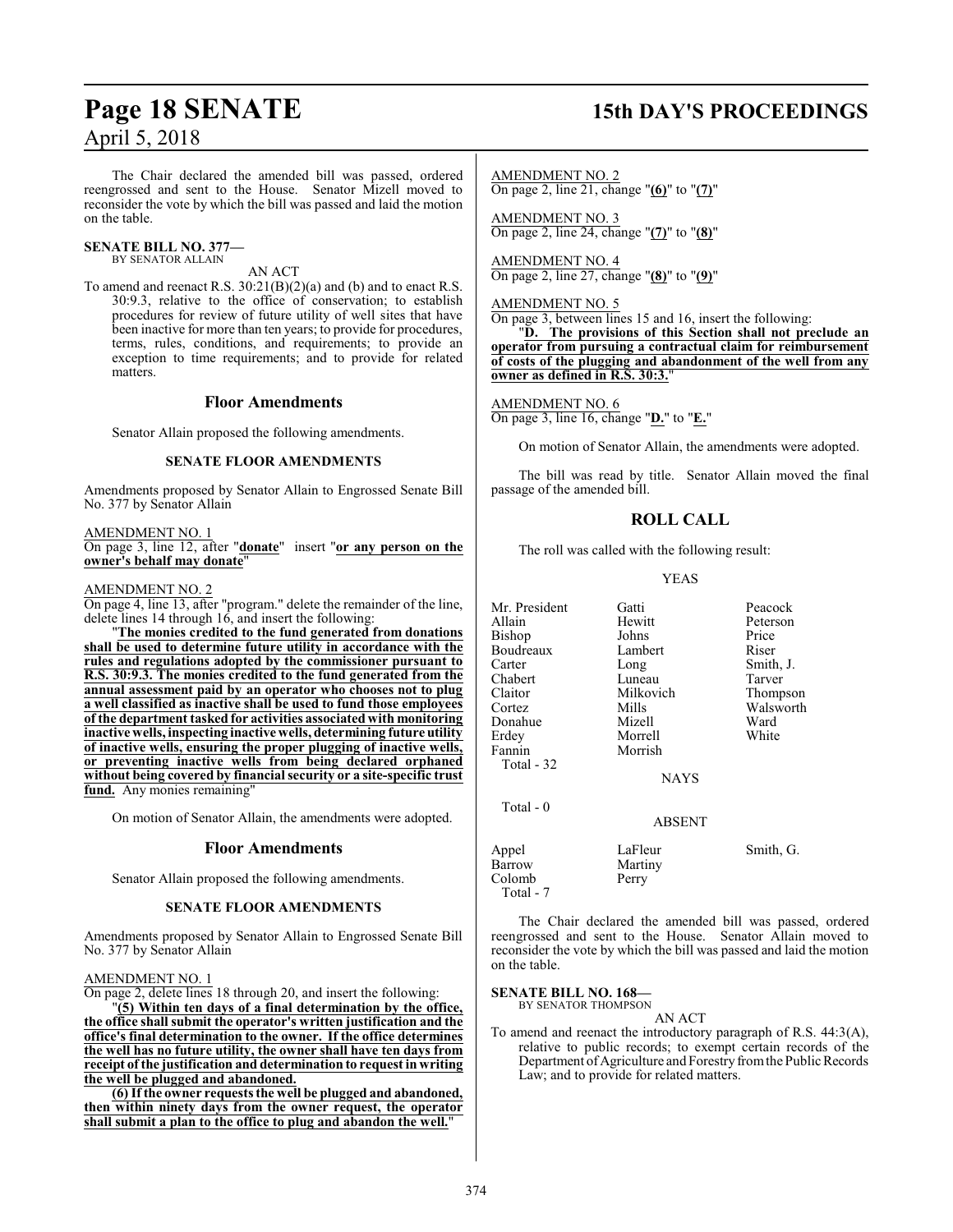## **Page 18 SENATE 15th DAY'S PROCEEDINGS**

The Chair declared the amended bill was passed, ordered reengrossed and sent to the House. Senator Mizell moved to reconsider the vote by which the bill was passed and laid the motion on the table.

#### **SENATE BILL NO. 377—** BY SENATOR ALLAIN

AN ACT

To amend and reenact R.S. 30:21(B)(2)(a) and (b) and to enact R.S. 30:9.3, relative to the office of conservation; to establish procedures for review of future utility of well sites that have been inactive for more than ten years; to provide for procedures, terms, rules, conditions, and requirements; to provide an exception to time requirements; and to provide for related matters.

### **Floor Amendments**

Senator Allain proposed the following amendments.

### **SENATE FLOOR AMENDMENTS**

Amendments proposed by Senator Allain to Engrossed Senate Bill No. 377 by Senator Allain

### AMENDMENT NO. 1

On page 3, line 12, after "**donate**" insert "**or any person on the owner's behalf may donate**"

AMENDMENT NO. 2

On page 4, line 13, after "program." delete the remainder of the line, delete lines 14 through 16, and insert the following:

"**The monies credited to the fund generated from donations shall be used to determine future utility in accordance with the rules and regulations adopted by the commissioner pursuant to R.S. 30:9.3. The monies credited to the fund generated from the annual assessment paid by an operator who chooses not to plug a well classified as inactive shall be used to fund those employees of the department tasked for activities associated with monitoring inactive wells, inspecting inactive wells, determining future utility of inactive wells, ensuring the proper plugging of inactive wells, or preventing inactive wells from being declared orphaned without being covered by financial security or a site-specific trust fund.** Any monies remaining"

On motion of Senator Allain, the amendments were adopted.

### **Floor Amendments**

Senator Allain proposed the following amendments.

### **SENATE FLOOR AMENDMENTS**

Amendments proposed by Senator Allain to Engrossed Senate Bill No. 377 by Senator Allain

### AMENDMENT NO. 1

On page 2, delete lines 18 through 20, and insert the following:

"**(5) Within ten days of a final determination by the office, the office shall submit the operator's written justification and the office's final determination to the owner. If the office determines the well has no future utility, the owner shall have ten days from receipt of the justification and determination to request in writing the well be plugged and abandoned.**

**(6) If the owner requests the well be plugged and abandoned, then within ninety days from the owner request, the operator shall submit a plan to the office to plug and abandon the well.**"

AMENDMENT NO. 2 On page 2, line 21, change "**(6)**" to "**(7)**"

AMENDMENT NO. 3 On page 2, line 24, change "**(7)**" to "**(8)**"

AMENDMENT NO. 4 On page 2, line 27, change "**(8)**" to "**(9)**"

### AMENDMENT NO. 5

On page 3, between lines 15 and 16, insert the following:

"**D. The provisions of this Section shall not preclude an operator from pursuing a contractual claim for reimbursement of costs of the plugging and abandonment of the well from any owner as defined in R.S. 30:3.**"

### AMENDMENT NO. 6

On page 3, line 16, change "**D.**" to "**E.**"

On motion of Senator Allain, the amendments were adopted.

The bill was read by title. Senator Allain moved the final passage of the amended bill.

### **ROLL CALL**

The roll was called with the following result:

### YEAS

| Mr. President          | Gatti              | Peacock   |
|------------------------|--------------------|-----------|
| Allain                 | Hewitt             | Peterson  |
| <b>Bishop</b>          | Johns              | Price     |
| Boudreaux              | Lambert            | Riser     |
| Carter                 | Long               | Smith, J. |
| Chabert                | Luneau             | Tarver    |
| Claitor                | Milkovich          | Thompson  |
| Cortez                 | Mills              | Walsworth |
| Donahue                | Mizell             | Ward      |
| Erdey                  | Morrell            | White     |
| Fannin                 | Morrish            |           |
| Total - 32             |                    |           |
|                        | <b>NAYS</b>        |           |
| Total - 0              |                    |           |
|                        | ABSENT             |           |
| Appel<br><b>Barrow</b> | LaFleur<br>Martiny | Smith, G. |
| Colomb                 | Perry              |           |

The Chair declared the amended bill was passed, ordered reengrossed and sent to the House. Senator Allain moved to reconsider the vote by which the bill was passed and laid the motion on the table.

### **SENATE BILL NO. 168—**

Colomb Total - 7

> BY SENATOR THOMPSON AN ACT

To amend and reenact the introductory paragraph of R.S. 44:3(A), relative to public records; to exempt certain records of the Department of Agriculture and Forestry from the Public Records Law; and to provide for related matters.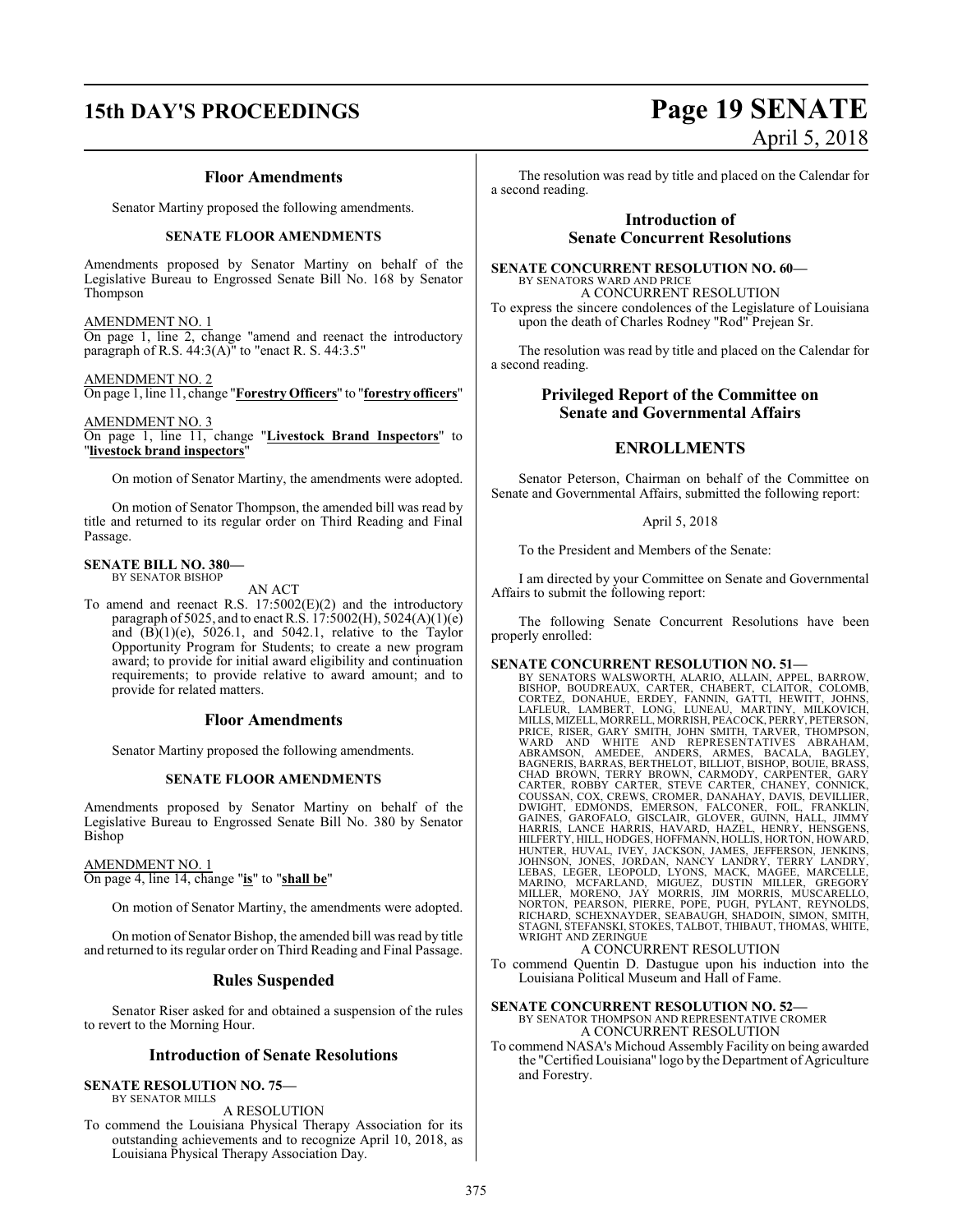## **15th DAY'S PROCEEDINGS Page 19 SENATE**

### **Floor Amendments**

Senator Martiny proposed the following amendments.

### **SENATE FLOOR AMENDMENTS**

Amendments proposed by Senator Martiny on behalf of the Legislative Bureau to Engrossed Senate Bill No. 168 by Senator Thompson

AMENDMENT NO. 1 On page 1, line 2, change "amend and reenact the introductory paragraph of R.S.  $44:3(A)$ " to "enact R.S.  $44:3.5$ "

AMENDMENT NO. 2 On page 1, line 11, change "**ForestryOfficers**" to "**forestry officers**"

AMENDMENT NO. 3 On page 1, line 11, change "**Livestock Brand Inspectors**" to "**livestock brand inspectors**"

On motion of Senator Martiny, the amendments were adopted.

On motion of Senator Thompson, the amended bill was read by title and returned to its regular order on Third Reading and Final Passage.

#### **SENATE BILL NO. 380—** BY SENATOR BISHOP

AN ACT

To amend and reenact R.S. 17:5002(E)(2) and the introductory paragraph of 5025, and to enact R.S. 17:5002(H), 5024(A)(1)(e) and  $(B)(1)(e)$ ,  $5026.1$ , and  $5042.1$ , relative to the Taylor Opportunity Program for Students; to create a new program award; to provide for initial award eligibility and continuation requirements; to provide relative to award amount; and to provide for related matters.

### **Floor Amendments**

Senator Martiny proposed the following amendments.

### **SENATE FLOOR AMENDMENTS**

Amendments proposed by Senator Martiny on behalf of the Legislative Bureau to Engrossed Senate Bill No. 380 by Senator Bishop

### AMENDMENT NO. 1

On page 4, line 14, change "**is**" to "**shall be**"

On motion of Senator Martiny, the amendments were adopted.

On motion of Senator Bishop, the amended bill was read by title and returned to its regular order on Third Reading and Final Passage.

### **Rules Suspended**

Senator Riser asked for and obtained a suspension of the rules to revert to the Morning Hour.

### **Introduction of Senate Resolutions**

### **SENATE RESOLUTION NO. 75—**

BY SENATOR MILLS A RESOLUTION

To commend the Louisiana Physical Therapy Association for its outstanding achievements and to recognize April 10, 2018, as Louisiana Physical Therapy Association Day.

April 5, 2018

The resolution was read by title and placed on the Calendar for a second reading.

### **Introduction of Senate Concurrent Resolutions**

#### **SENATE CONCURRENT RESOLUTION NO. 60—** BY SENATORS WARD AND PRICE

A CONCURRENT RESOLUTION To express the sincere condolences of the Legislature of Louisiana upon the death of Charles Rodney "Rod" Prejean Sr.

The resolution was read by title and placed on the Calendar for a second reading.

### **Privileged Report of the Committee on Senate and Governmental Affairs**

### **ENROLLMENTS**

Senator Peterson, Chairman on behalf of the Committee on Senate and Governmental Affairs, submitted the following report:

### April 5, 2018

To the President and Members of the Senate:

I am directed by your Committee on Senate and Governmental Affairs to submit the following report:

The following Senate Concurrent Resolutions have been properly enrolled:

**SENATE CONCURRENT RESOLUTION NO. 51—**<br>BY SENATORS WALSWORTH, ALARIO, ALLAIN, APPEL, BARROW, BISHOP, BOUDREAUX, CARTER, CHATOR, COLOMB, CORTEZ, DONAHUE, ERDEY, FANNIN, GATTI, HEWITT, JOHNS, LAFLEUR, LAMBERT, LONG, LUNEAU, COUSSAN, COX, CREWS, CROMER, DANAHAY, DAVIS, DEVILLIER,<br>DWIGHT, EDMONDS, EMERSON, FALCONER, FOIL, FRANKLIN,<br>GAINES, GAROFALO, GISCLAIR, GLOVER, GUINN, HALL, JIMMY HARRIS, LANCE HARRIS, HAVARD, HAZEL, HENRY, HENSGENS,<br>HILFERTY,HILL,HODGES,HOFFMANN,HOLLIS,HORTON,HOWARD,<br>HUNTER, HILL,HODGES,HOFFMANN,HOLLIS,HORTON,HOWARD,<br>JOHNSON, JONES, JORDAN, NANCY LANDRY, TERRY LANDRY,<br>LEBAS, LEGER, STAGNI, STEFANSKI, STOKES, TALBOT, THIBAUT, THOMAS, WHITE, WRIGHT AND ZERINGUE

### A CONCURRENT RESOLUTION

To commend Quentin D. Dastugue upon his induction into the Louisiana Political Museum and Hall of Fame.

### **SENATE CONCURRENT RESOLUTION NO. 52—**

BY SENATOR THOMPSON AND REPRESENTATIVE CROMER A CONCURRENT RESOLUTION

To commend NASA's Michoud Assembly Facility on being awarded the "Certified Louisiana" logo by the Department of Agriculture and Forestry.